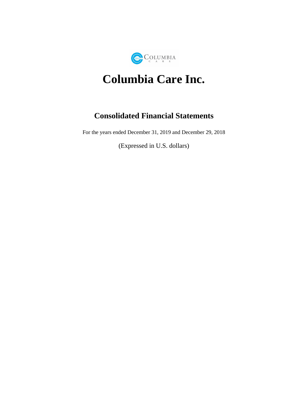

# **Columbia Care Inc.**

# **Consolidated Financial Statements**

For the years ended December 31, 2019 and December 29, 2018

(Expressed in U.S. dollars)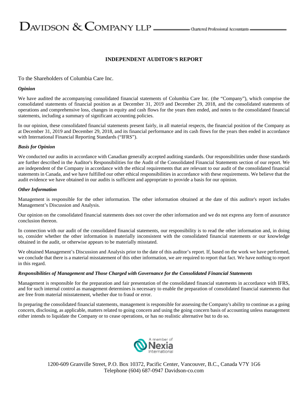# $D$ AVIDSON  $\&$  COMPANY LLP  $\_\_\_\_\$ Ohartered Professional Accountants

#### **INDEPENDENT AUDITOR'S REPORT**

#### To the Shareholders of Columbia Care Inc.

#### *Opinion*

We have audited the accompanying consolidated financial statements of Columbia Care Inc. (the "Company"), which comprise the consolidated statements of financial position as at December 31, 2019 and December 29, 2018, and the consolidated statements of operations and comprehensive loss, changes in equity and cash flows for the years then ended, and notes to the consolidated financial statements, including a summary of significant accounting policies.

In our opinion, these consolidated financial statements present fairly, in all material respects, the financial position of the Company as at December 31, 2019 and December 29, 2018, and its financial performance and its cash flows for the years then ended in accordance with International Financial Reporting Standards ("IFRS").

#### *Basis for Opinion*

We conducted our audits in accordance with Canadian generally accepted auditing standards. Our responsibilities under those standards are further described in the Auditor's Responsibilities for the Audit of the Consolidated Financial Statements section of our report. We are independent of the Company in accordance with the ethical requirements that are relevant to our audit of the consolidated financial statements in Canada, and we have fulfilled our other ethical responsibilities in accordance with these requirements. We believe that the audit evidence we have obtained in our audits is sufficient and appropriate to provide a basis for our opinion.

#### *Other Information*

Management is responsible for the other information. The other information obtained at the date of this auditor's report includes Management's Discussion and Analysis.

Our opinion on the consolidated financial statements does not cover the other information and we do not express any form of assurance conclusion thereon.

In connection with our audit of the consolidated financial statements, our responsibility is to read the other information and, in doing so, consider whether the other information is materially inconsistent with the consolidated financial statements or our knowledge obtained in the audit, or otherwise appears to be materially misstated.

We obtained Management's Discussion and Analysis prior to the date of this auditor's report. If, based on the work we have performed, we conclude that there is a material misstatement of this other information, we are required to report that fact. We have nothing to report in this regard.

#### *Responsibilities of Management and Those Charged with Governance for the Consolidated Financial Statements*

Management is responsible for the preparation and fair presentation of the consolidated financial statements in accordance with IFRS, and for such internal control as management determines is necessary to enable the preparation of consolidated financial statements that are free from material misstatement, whether due to fraud or error.

In preparing the consolidated financial statements, management is responsible for assessing the Company's ability to continue as a going concern, disclosing, as applicable, matters related to going concern and using the going concern basis of accounting unless management either intends to liquidate the Company or to cease operations, or has no realistic alternative but to do so.



1200-609 Granville Street, P.O. Box 10372, Pacific Center, Vancouver, B.C., Canada V7Y 1G6 Telephone (604) 687-0947 Davidson-co.com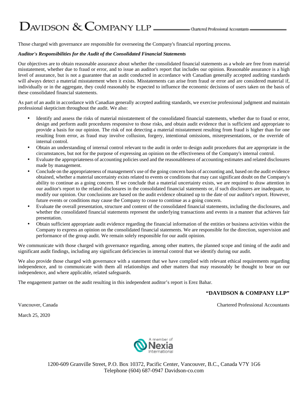# $D$ AVIDSON  $\&$  COMPANY LLP  $\_\_\_\_\_\$ Ohartered Professional Accountants

Those charged with governance are responsible for overseeing the Company's financial reporting process.

#### *Auditor's Responsibilities for the Audit of the Consolidated Financial Statements*

Our objectives are to obtain reasonable assurance about whether the consolidated financial statements as a whole are free from material misstatement, whether due to fraud or error, and to issue an auditor's report that includes our opinion. Reasonable assurance is a high level of assurance, but is not a guarantee that an audit conducted in accordance with Canadian generally accepted auditing standards will always detect a material misstatement when it exists. Misstatements can arise from fraud or error and are considered material if, individually or in the aggregate, they could reasonably be expected to influence the economic decisions of users taken on the basis of these consolidated financial statements.

As part of an audit in accordance with Canadian generally accepted auditing standards, we exercise professional judgment and maintain professional skepticism throughout the audit. We also:

- Identify and assess the risks of material misstatement of the consolidated financial statements, whether due to fraud or error, design and perform audit procedures responsive to those risks, and obtain audit evidence that is sufficient and appropriate to provide a basis for our opinion. The risk of not detecting a material misstatement resulting from fraud is higher than for one resulting from error, as fraud may involve collusion, forgery, intentional omissions, misrepresentations, or the override of internal control.
- Obtain an understanding of internal control relevant to the audit in order to design audit procedures that are appropriate in the circumstances, but not for the purpose of expressing an opinion on the effectiveness of the Company's internal control.
- Evaluate the appropriateness of accounting policies used and the reasonableness of accounting estimates and related disclosures made by management.
- Conclude on the appropriateness of management's use of the going concern basis of accounting and, based on the audit evidence obtained, whether a material uncertainty exists related to events or conditions that may cast significant doubt on the Company's ability to continue as a going concern. If we conclude that a material uncertainty exists, we are required to draw attention in our auditor's report to the related disclosures in the consolidated financial statements or, if such disclosures are inadequate, to modify our opinion. Our conclusions are based on the audit evidence obtained up to the date of our auditor's report. However, future events or conditions may cause the Company to cease to continue as a going concern.
- Evaluate the overall presentation, structure and content of the consolidated financial statements, including the disclosures, and whether the consolidated financial statements represent the underlying transactions and events in a manner that achieves fair presentation.
- Obtain sufficient appropriate audit evidence regarding the financial information of the entities or business activities within the Company to express an opinion on the consolidated financial statements. We are responsible for the direction, supervision and performance of the group audit. We remain solely responsible for our audit opinion.

We communicate with those charged with governance regarding, among other matters, the planned scope and timing of the audit and significant audit findings, including any significant deficiencies in internal control that we identify during our audit.

We also provide those charged with governance with a statement that we have complied with relevant ethical requirements regarding independence, and to communicate with them all relationships and other matters that may reasonably be thought to bear on our independence, and where applicable, related safeguards.

The engagement partner on the audit resulting in this independent auditor's report is Erez Bahar.

#### **"DAVIDSON & COMPANY LLP"**

Vancouver, Canada Chartered Professional Accountants

March 25, 2020



1200-609 Granville Street, P.O. Box 10372, Pacific Center, Vancouver, B.C., Canada V7Y 1G6 Telephone (604) 687-0947 Davidson-co.com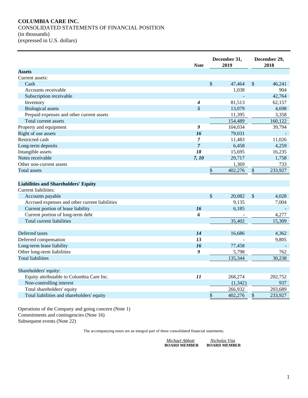### **COLUMBIA CARE INC.** CONSOLIDATED STATEMENTS OF FINANCIAL POSITION (in thousands) (expressed in U.S. dollars)

|                                                | <b>Note</b>      | December 31,<br>2019 |          |                                              | December 29,<br>2018 |  |
|------------------------------------------------|------------------|----------------------|----------|----------------------------------------------|----------------------|--|
| <b>Assets</b>                                  |                  |                      |          |                                              |                      |  |
| Current assets:                                |                  |                      |          |                                              |                      |  |
| Cash                                           |                  | \$                   | 47,464   | $\mathcal{S}$                                | 46.241               |  |
| Accounts receivable                            |                  |                      | 1,038    |                                              | 904                  |  |
| Subscription receivable                        |                  |                      |          |                                              | 42,764               |  |
| Inventory                                      | $\boldsymbol{4}$ |                      | 81,513   |                                              | 62,157               |  |
| <b>Biological</b> assets                       | 5                |                      | 13,079   |                                              | 4,698                |  |
| Prepaid expenses and other current assets      |                  |                      | 11,395   |                                              | 3,358                |  |
| Total current assets                           |                  |                      | 154,489  |                                              | 160,122              |  |
| Property and equipment                         | 9                |                      | 104,034  |                                              | 39,794               |  |
| Right of use assets                            | 16               |                      | 79,031   |                                              |                      |  |
| Restricted cash                                | $\overline{7}$   |                      | 11,483   |                                              | 11,026               |  |
| Long-term deposits                             | $\overline{7}$   |                      | 6,458    |                                              | 4,259                |  |
| Intangible assets                              | 18               |                      | 15,695   |                                              | 16,235               |  |
| Notes receivable                               | 7, 10            |                      | 29,717   |                                              | 1,758                |  |
| Other non-current assets                       |                  |                      | 1,369    |                                              | 733                  |  |
| <b>Total assets</b>                            |                  | \$                   | 402,276  | \$                                           | 233,927              |  |
|                                                |                  |                      |          |                                              |                      |  |
| <b>Liabilities and Shareholders' Equity</b>    |                  |                      |          |                                              |                      |  |
| Current liabilities:                           |                  |                      |          |                                              |                      |  |
| Accounts payable                               |                  | \$                   | 20,082   | \$                                           | 4,028                |  |
| Accrued expenses and other current liabilities |                  |                      | 9,135    |                                              | 7,004                |  |
| Current portion of lease liability             | 16               |                      | 6,185    |                                              |                      |  |
| Current portion of long-term debt              | 6                |                      |          |                                              | 4,277                |  |
| Total current liabilities                      |                  |                      | 35,402   |                                              | 15,309               |  |
|                                                |                  |                      |          |                                              |                      |  |
| Deferred taxes                                 | 14               |                      | 16,686   |                                              | 4,362                |  |
| Deferred compensation                          | 13               |                      |          |                                              | 9,805                |  |
| Long-term lease liability                      | 16               |                      | 77,458   |                                              |                      |  |
| Other long-term liabilities                    | 9                |                      | 5,798    |                                              | 762                  |  |
| <b>Total liabilities</b>                       |                  |                      | 135,344  |                                              | 30,238               |  |
|                                                |                  |                      |          |                                              |                      |  |
| Shareholders' equity:                          |                  |                      |          |                                              |                      |  |
| Equity attributable to Columbia Care Inc.      | 11               |                      | 268,274  |                                              | 202,752              |  |
| Non-controlling interest                       |                  |                      | (1, 342) |                                              | 937                  |  |
| Total shareholders' equity                     |                  |                      | 266,932  |                                              | 203,689              |  |
| Total liabilities and shareholders' equity     |                  | \$                   | 402,276  | $\, \, \raisebox{12pt}{$\scriptstyle\circ$}$ | 233,927              |  |
|                                                |                  |                      |          |                                              |                      |  |

Operations of the Company and going concern (Note 1) Commitments and contingencies (Note 16) Subsequent events (Note 22)

| Michael Abbott      | Nicholas Vita       |
|---------------------|---------------------|
| <b>BOARD MEMBER</b> | <b>BOARD MEMBER</b> |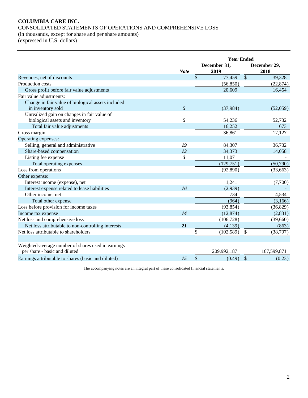# **COLUMBIA CARE INC.** CONSOLIDATED STATEMENTS OF OPERATIONS AND COMPREHENSIVE LOSS (in thousands, except for share and per share amounts)

| (expressed in U.S. dollars) |  |
|-----------------------------|--|
|-----------------------------|--|

|                                                     |                | <b>Year Ended</b> |              |               |             |  |
|-----------------------------------------------------|----------------|-------------------|--------------|---------------|-------------|--|
|                                                     |                |                   | December 31, | December 29,  |             |  |
|                                                     | <b>Note</b>    |                   | 2019         | 2018          |             |  |
| Revenues, net of discounts                          |                | \$                | 77,459       | $\frac{1}{2}$ | 39,328      |  |
| Production costs                                    |                |                   | (56, 850)    |               | (22, 874)   |  |
| Gross profit before fair value adjustments          |                |                   | 20,609       |               | 16,454      |  |
| Fair value adjustments:                             |                |                   |              |               |             |  |
| Change in fair value of biological assets included  |                |                   |              |               |             |  |
| in inventory sold                                   | 5              |                   | (37,984)     |               | (52,059)    |  |
| Unrealized gain on changes in fair value of         |                |                   |              |               |             |  |
| biological assets and inventory                     | 5              |                   | 54,236       |               | 52,732      |  |
| Total fair value adjustments                        |                |                   | 16,252       | 673           |             |  |
| Gross margin                                        |                |                   | 36,861       |               | 17,127      |  |
| Operating expenses:                                 |                |                   |              |               |             |  |
| Selling, general and administrative                 | 19             |                   | 84,307       |               | 36,732      |  |
| Share-based compensation                            | 13             |                   | 34,373       |               | 14,058      |  |
| Listing fee expense                                 | $\mathfrak{z}$ |                   | 11,071       |               |             |  |
| Total operating expenses                            |                |                   | (129, 751)   |               | (50,790)    |  |
| Loss from operations                                |                |                   | (92,890)     |               | (33, 663)   |  |
| Other expense:                                      |                |                   |              |               |             |  |
| Interest income (expense), net                      |                |                   | 1,241        |               | (7,700)     |  |
| Interest expense related to lease liabilities       | 16             |                   | (2,939)      |               |             |  |
| Other income, net                                   |                |                   | 734          |               | 4,534       |  |
| Total other expense                                 |                |                   | (964)        |               | (3,166)     |  |
| Loss before provision for income taxes              |                |                   | (93, 854)    |               | (36,829)    |  |
| Income tax expense                                  | 14             |                   | (12, 874)    |               | (2, 831)    |  |
| Net loss and comprehensive loss                     |                |                   | (106, 728)   |               | (39,660)    |  |
| Net loss attributable to non-controlling interests  | 21             |                   | (4,139)      |               | (863)       |  |
| Net loss attributable to shareholders               |                | \$                | (102, 589)   | \$            | (38, 797)   |  |
|                                                     |                |                   |              |               |             |  |
| Weighted-average number of shares used in earnings  |                |                   |              |               |             |  |
| per share - basic and diluted                       |                |                   | 209,992,187  |               | 167,599,871 |  |
| Earnings attributable to shares (basic and diluted) | 15             | \$                | (0.49)       | \$            | (0.23)      |  |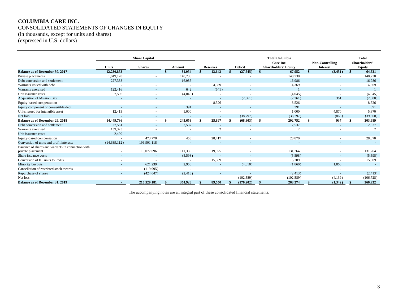#### **COLUMBIA CARE INC.** CONSOLIDATED STATEMENTS OF CHANGES IN EQUITY (in thousands, except for units and shares) (expressed in U.S. dollars)

**Share Capital Total Columbia Total Care Inc. Non-Controlling Shareholders' Units Shares Reserves Reserves Deficit Constanting Shareholders' Equity Interest Equity Equity**<br>12,230,853 **Shareholders' Equity Equity Equity Equity CONS Equidy Equity Equity Equity Equi Balance as of December 30, 2017 12,230,853 - \$ 81,954 \$ 13,643 \$ (27,645) \$ 67,952 \$ (3,431) \$ 64,521** Private placements 2008 1,849,120 - 148,730 - 148,730 - 148,730 - 148,730 - 148,730 - 148,730 Pebt conversion and settlement 227,338 227,338 16,986 16,986 16,986 16,986 16,986 16,986 16,986 16,986 16,986 16,986 16,986 16,986 16,986 16,986 16,986 16,986 16,986 16,986 16,986 16,986 16,986 16,986 16,986 16,986 16,986 Warrants issued with debt **- - - - - - - - - - - - - 4**,369 - - - - 4,369 - 4,369 - - - - 4,369 - 4,369 - - - 4,369 Warrants exercised 122,416 - 642 (641) - 1 - 1 Unit issuance costs and the costs and the costs and the costs capacity of  $(4,045)$  -  $(4,045)$  -  $(4,045)$  -  $(4,045)$  -  $(4,045)$ Acquisition of Mission Bay 5.5 (2,361) 2.361 (2,000) 361 (2,000) 361 (2,000) 361 (2,000) 361 (2,000) Equity-based compensation and the debt and the compensation of the compensation of the compensation of the compensation of the compensation of the compensation of the compensation of the compensation of the compensation of Equity component of convertible debt  $\frac{391}{12.413}$   $\frac{391}{1000}$   $\frac{391}{1000}$   $\frac{391}{1000}$   $\frac{391}{1000}$   $\frac{391}{1000}$   $\frac{391}{1000}$   $\frac{391}{1000}$   $\frac{391}{1000}$   $\frac{391}{1000}$   $\frac{391}{1000}$   $\frac{391}{1000}$   $\frac$ Units issued for intangible asset  $12,413$  -  $1,000$  -  $1,000$  -  $4,870$   $5,870$   $5,870$ Net loss - - - - (38,797) (38,797) (863) (39,660) **Balance as of December 29, 2018 14,449,736 - \$ 245,658 \$ 25,897 \$ (68,803) \$ 202,752 \$ 937 \$ 203,689** Pebt conversion and settlement 27,561 2,537 - 2,537 2,537 2,537 2,537 2,537 2,537 2,537 2,537 2,537 2,537 2,537 2,537 2,537 2,537 2,537 2,537 2,537 2,537 2,537 2,537 2,537 2,537 2,537 2,537 2,537 2,537 2,537 2,537 2,537 2, Warrants exercised and the set of  $159,325$  and  $159,325$  and  $2$  and  $2$  and  $2$  and  $2$  and  $2$  and  $2$  and  $2$  and  $2$  and  $2$  and  $2$  and  $2$  and  $2$  and  $2$  and  $2$  and  $2$  and  $2$  and  $2$  and  $2$  and  $2$  and  $2$  and Unit issuance costs and the costs and the costs and the costs of the costs and the costs and the costs of the costs and the costs of the costs of the costs and the costs of the costs of the costs of the costs of the costs Equity-based compensation **128,870** 158,870 168,870 168,870 168,870 168,870 168,870 168,870 168,870 168,870 168,870 Conversion of units and profit interests (14,639,112) 196,901,118 - - - - - - Issuance of shares and warrants in connection with private placement - 19,077,096 111,339 19,925 - 131,264 - 131,264 Share issuance costs and the costs of the costs of the costs of the costs of the costs of the costs of the cost of the costs of the costs of the costs of the costs of the costs of the costs of the costs of the costs of the Conversion of IIP units to RSUs 15,309 Minority buyouts - 621,239 2,950 - (4,810) (1,860) 1,860 -  $\frac{(119,995)}{(424,047)}$   $(2,413)$   $(2,413)$   $(2,413)$   $(2,413)$   $(2,413)$   $(2,413)$   $(2,413)$   $(2,413)$ Repurchase of shares - (424,047) (2,413) - (2,413) (2,413) (2,413) (2,413) (2,413) Net loss (102,589) (102,589) (102,589) (102,589) (102,589) (102,589) (102,589) (102,589) (106,728) **Balance as of December 31, 2019 - 216,529,181 \$ 354,926 \$ 89,550 \$ (176,202) \$ 268,274 \$ (1,342) \$ 266,932**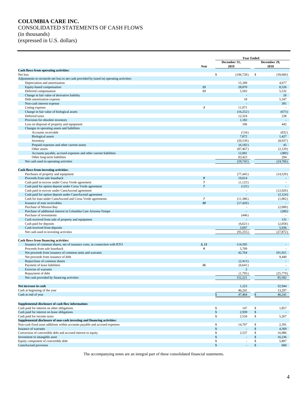# **COLUMBIA CARE INC.** CONSOLIDATED STATEMENTS OF CASH FLOWS (in thousands) (expressed in U.S. dollars)

|                                                                                                                   |                  | <b>Year Ended</b>              |                      |                     |
|-------------------------------------------------------------------------------------------------------------------|------------------|--------------------------------|----------------------|---------------------|
|                                                                                                                   | <b>Note</b>      | December 31,<br>2019           | December 29,<br>2018 |                     |
| Cash flows from operating activities:                                                                             |                  |                                |                      |                     |
| Net loss                                                                                                          |                  | \$<br>(106, 728)               | -\$                  | (39,660)            |
| Adjustments to reconcile net loss to net cash provided by (used in) operating activities:                         |                  |                                |                      |                     |
| Depreciation and amortization                                                                                     |                  | 15,189                         |                      | 4,677               |
| Equity-based compensation                                                                                         | 13<br>13         | 28,870<br>5,503                |                      | 8,526               |
| Deferred compensation<br>Change in fair value of derivative liability                                             |                  |                                |                      | 5,532<br>26         |
| Debt amortization expense                                                                                         |                  | 18                             |                      | 5,347               |
| Non-cash interest expense                                                                                         |                  |                                |                      | 391                 |
| Listing expense                                                                                                   | $\mathbf{3}$     | 11,071                         |                      |                     |
| Change in fair value of biological assets                                                                         |                  | (16, 252)                      |                      | (673)               |
| Deferred taxes                                                                                                    |                  | 12,324                         |                      | 238                 |
| Provision for obsolete inventory                                                                                  |                  | 1,182                          |                      |                     |
| Loss on disposal of property and equipment                                                                        |                  | 106                            |                      | 442                 |
| Changes in operating assets and liabilities                                                                       |                  |                                |                      |                     |
| Accounts receivable<br><b>Biological</b> assets                                                                   |                  | (134)<br>7,872                 |                      | (832)<br>1,427      |
| Inventory                                                                                                         |                  | (20, 539)                      |                      | (8,037)             |
| Prepaid expenses and other current assets                                                                         |                  | (6,182)                        |                      | 45                  |
| Other assets                                                                                                      |                  | (87, 467)                      |                      | (2,129)             |
| Accounts payable, accrued expenses and other current liabilities                                                  |                  | 12,001                         |                      | (380)               |
| Other long-term liabilities                                                                                       |                  | 83,423                         |                      | 294                 |
| Net cash used in operating activities                                                                             |                  | (59, 743)                      |                      | (24,766)            |
|                                                                                                                   |                  |                                |                      |                     |
| Cash flows from investing activities:                                                                             |                  |                                |                      |                     |
| Purchases of property and equipment                                                                               |                  | (77.445)                       |                      | (14, 529)           |
| Proceeds from sale leaseback                                                                                      | $\boldsymbol{g}$ | 19,614                         |                      |                     |
| Cash paid in escrow under Corsa Verde agreement                                                                   | $\overline{7}$   | (1,123)                        |                      | $\sim$              |
| Cash paid for option deposit under Corsa Verde agreement                                                          | $\overline{7}$   | (125)                          |                      |                     |
| Cash paid in escrow under CannAscend agreement<br>Cash paid for option deposit under CannAscend agreement         |                  | $\overline{\phantom{a}}$       |                      | (12,026)<br>(2,124) |
| Cash for loan under CannAscend and Corsa Verde agreements                                                         | $\overline{7}$   | (11, 386)                      |                      | (1,002)             |
| Issuance of note receivables                                                                                      | 10               | (17, 420)                      |                      |                     |
| Purchase of Mission Bay                                                                                           |                  |                                |                      | (2,000)             |
| Purchase of additional interest in Columbia Care Arizona-Tempe                                                    |                  | $\sim$                         |                      | (200)               |
| Purchase of investments                                                                                           |                  | (446)                          |                      |                     |
| Cash received from sale of property and equipment                                                                 |                  |                                |                      | 131                 |
| Cash paid for deposits                                                                                            |                  | (6,621)                        |                      | (2,058)             |
| Cash received from deposits                                                                                       |                  | 3,697                          |                      | 5,936               |
| Net cash used in investing activities                                                                             |                  | (91, 255)                      |                      | (27, 872)           |
|                                                                                                                   |                  |                                |                      |                     |
| Cash flows from financing activities:<br>Issuance of common shares, net of issuance costs, in connection with RTO | 3, 11            | 114,595                        |                      |                     |
| Proceeds from sale leaseback                                                                                      | 9                | 5,709                          |                      |                     |
| Net proceeds from issuance of common units and warrants                                                           |                  | 42,764                         |                      | 101,921             |
| Net proceeds from issuance of debt                                                                                |                  |                                |                      | 9,440               |
| Repurchase of common shares                                                                                       |                  | (2, 413)                       |                      | ÷                   |
| Payment of lease liabilities                                                                                      | 16               | (6,641)                        |                      | $\sim$              |
| Exercise of warrants                                                                                              |                  | $\overline{c}$                 |                      |                     |
| Repayment of debt                                                                                                 |                  | (1,795)                        |                      | (25,779)            |
| Net cash provided by financing activities                                                                         |                  | 152,221                        |                      | 85,582              |
|                                                                                                                   |                  |                                |                      |                     |
| Net increase in cash                                                                                              |                  | 1,223                          |                      | 32,944              |
| Cash at beginning of the year                                                                                     |                  | 46,241                         |                      | 13,297              |
| Cash at end of year                                                                                               |                  | 47,464<br>$\mathbb{S}$         | \$                   | 46,241              |
|                                                                                                                   |                  |                                |                      |                     |
| Supplemental disclosure of cash flow information:                                                                 |                  | \$                             |                      |                     |
| Cash paid for interest on other obligations<br>Cash paid for interest on lease obligations                        |                  | 147<br>$\mathcal{S}$<br>2,939  | \$<br>\$             | 1,857               |
| Cash paid for income taxes                                                                                        |                  | \$<br>2,534                    | \$                   | 5,267               |
| Supplemental disclosure of non-cash investing and financing activities:                                           |                  |                                |                      |                     |
| Non-cash fixed asset additions within accounts payable and accrued expenses                                       |                  | \$<br>14,797                   | \$                   | 2,391               |
| Issuance of warrants                                                                                              |                  | $\mathcal{S}$                  | \$                   | 4,369               |
| Conversion of convertible debt and accrued interest to equity                                                     |                  | \$<br>2,537                    | \$                   | 16,986              |
| Investment in intangible asset                                                                                    |                  | $\mathcal{S}$                  | \$                   | 16,236              |
| Equity component of convertible debt                                                                              |                  | \$<br>$\overline{\phantom{a}}$ | \$                   | 5,807               |
| CannAscend provision                                                                                              |                  | $\mathcal{S}$                  | \$                   | 600                 |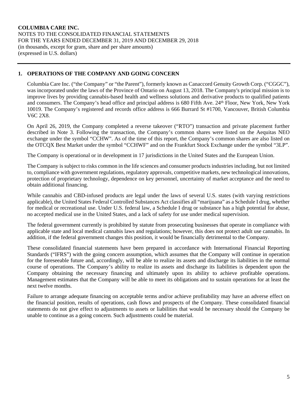# **1. OPERATIONS OF THE COMPANY AND GOING CONCERN**

Columbia Care Inc. ("the Company" or "the Parent"), formerly known as Canaccord Genuity Growth Corp. ("CGGC"), was incorporated under the laws of the Province of Ontario on August 13, 2018. The Company's principal mission is to improve lives by providing cannabis-based health and wellness solutions and derivative products to qualified patients and consumers. The Company's head office and principal address is 680 Fifth Ave. 24th Floor, New York, New York 10019. The Company's registered and records office address is 666 Burrard St #1700, Vancouver, British Columbia V6C 2X8.

On April 26, 2019, the Company completed a reverse takeover ("RTO") transaction and private placement further described in Note 3. Following the transaction, the Company's common shares were listed on the Aequitas NEO exchange under the symbol "CCHW". As of the time of this report, the Company's common shares are also listed on the OTCQX Best Market under the symbol "CCHWF" and on the Frankfurt Stock Exchange under the symbol "3LP".

The Company is operational or in development in 17 jurisdictions in the United States and the European Union.

The Company is subject to risks common in the life sciences and consumer products industries including, but not limited to, compliance with government regulations, regulatory approvals, competitive markets, new technological innovations, protection of proprietary technology, dependence on key personnel, uncertainty of market acceptance and the need to obtain additional financing.

While cannabis and CBD-infused products are legal under the laws of several U.S. states (with varying restrictions applicable), the United States Federal Controlled Substances Act classifies all "marijuana" as a Schedule I drug, whether for medical or recreational use. Under U.S. federal law, a Schedule I drug or substance has a high potential for abuse, no accepted medical use in the United States, and a lack of safety for use under medical supervision.

The federal government currently is prohibited by statute from prosecuting businesses that operate in compliance with applicable state and local medical cannabis laws and regulations; however, this does not protect adult use cannabis. In addition, if the federal government changes this position, it would be financially detrimental to the Company.

These consolidated financial statements have been prepared in accordance with International Financial Reporting Standards ("IFRS") with the going concern assumption, which assumes that the Company will continue in operation for the foreseeable future and, accordingly, will be able to realize its assets and discharge its liabilities in the normal course of operations. The Company's ability to realize its assets and discharge its liabilities is dependent upon the Company obtaining the necessary financing and ultimately upon its ability to achieve profitable operations. Management estimates that the Company will be able to meet its obligations and to sustain operations for at least the next twelve months.

Failure to arrange adequate financing on acceptable terms and/or achieve profitability may have an adverse effect on the financial position, results of operations, cash flows and prospects of the Company. These consolidated financial statements do not give effect to adjustments to assets or liabilities that would be necessary should the Company be unable to continue as a going concern. Such adjustments could be material.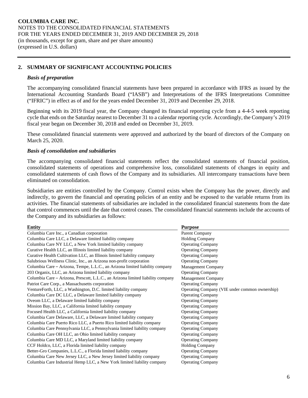# **2. SUMMARY OF SIGNIFICANT ACCOUNTING POLICIES**

#### *Basis of preparation*

The accompanying consolidated financial statements have been prepared in accordance with IFRS as issued by the International Accounting Standards Board ("IASB") and Interpretations of the IFRS Interpretations Committee ("IFRIC") in effect as of and for the years ended December 31, 2019 and December 29, 2018.

Beginning with its 2019 fiscal year, the Company changed its financial reporting cycle from a 4-4-5 week reporting cycle that ends on the Saturday nearest to December 31 to a calendar reporting cycle. Accordingly, the Company's 2019 fiscal year began on December 30, 2018 and ended on December 31, 2019.

These consolidated financial statements were approved and authorized by the board of directors of the Company on March 25, 2020.

#### *Basis of consolidation and subsidiaries*

The accompanying consolidated financial statements reflect the consolidated statements of financial position, consolidated statements of operations and comprehensive loss, consolidated statements of changes in equity and consolidated statements of cash flows of the Company and its subsidiaries. All intercompany transactions have been eliminated on consolidation.

Subsidiaries are entities controlled by the Company. Control exists when the Company has the power, directly and indirectly, to govern the financial and operating policies of an entity and be exposed to the variable returns from its activities. The financial statements of subsidiaries are included in the consolidated financial statements from the date that control commences until the date that control ceases. The consolidated financial statements include the accounts of the Company and its subsidiaries as follows:

| <b>Entity</b>                                                                   | <b>Purpose</b>                                 |
|---------------------------------------------------------------------------------|------------------------------------------------|
| Columbia Care Inc., a Canadian corporation                                      | Parent Company                                 |
| Columbia Care LLC, a Delaware limited liability company                         | <b>Holding Company</b>                         |
| Columbia Care NY LLC, a New York limited liability company                      | <b>Operating Company</b>                       |
| Curative Health LLC, an Illinois limited liability company                      | <b>Operating Company</b>                       |
| Curative Health Cultivation LLC, an Illinois limited liability company          | <b>Operating Company</b>                       |
| Salubrious Wellness Clinic, Inc., an Arizona non-profit corporation             | <b>Operating Company</b>                       |
| Columbia Care – Arizona, Tempe, L.L.C., an Arizona limited liability company    | <b>Management Company</b>                      |
| 203 Organix, LLC, an Arizona limited liability company                          | <b>Operating Company</b>                       |
| Columbia Care – Arizona, Prescott, L.L.C., an Arizona limited liability company | Management Company                             |
| Patriot Care Corp., a Massachusetts corporation                                 | <b>Operating Company</b>                       |
| VentureForth, LLC, a Washington, D.C. limited liability company                 | Operating Company (VIE under common ownership) |
| Columbia Care DC LLC, a Delaware limited liability company                      | <b>Operating Company</b>                       |
| Oveom LLC, a Delaware limited liability company                                 | <b>Operating Company</b>                       |
| Mission Bay, LLC, a California limited liability company                        | <b>Operating Company</b>                       |
| Focused Health LLC, a California limited liability company                      | <b>Operating Company</b>                       |
| Columbia Care Delaware, LLC, a Delaware limited liability company               | <b>Operating Company</b>                       |
| Columbia Care Puerto Rico LLC, a Puerto Rico limited liability company          | <b>Operating Company</b>                       |
| Columbia Care Pennsylvania LLC, a Pennsylvania limited liability company        | <b>Operating Company</b>                       |
| Columbia Care OH LLC, an Ohio limited liability company                         | <b>Operating Company</b>                       |
| Columbia Care MD LLC, a Maryland limited liability company                      | <b>Operating Company</b>                       |
| CCF Holdco, LLC, a Florida limited liability company                            | Holding Company                                |
| Better-Gro Companies, L.L.C., a Florida limited liability company               | <b>Operating Company</b>                       |
| Columbia Care New Jersey LLC, a New Jersey limited liability company            | <b>Operating Company</b>                       |
| Columbia Care Industrial Hemp LLC, a New York limited liability company         | <b>Operating Company</b>                       |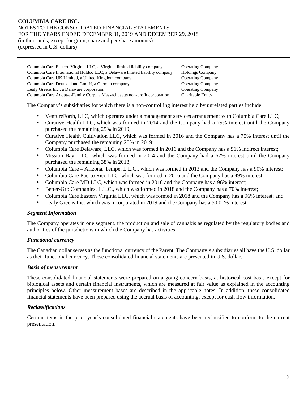(expressed in U.S. dollars)

Columbia Care Eastern Virginia LLC, a Virginia limited liability company Operating Company Columbia Care International Holdco LLC, a Delaware limited liability company Holdings Company Columbia Care UK Limited, a United Kingdom company Operating Company Columbia Care Deutschland GmbH, a German company **Operating Company** Operating Company Leafy Greens Inc., a Delaware corporation Operating Company Columbia Care Adopt-a-Family Corp., a Massachusetts non-profit corporation Charitable Entity

The Company's subsidiaries for which there is a non-controlling interest held by unrelated parties include:

- VentureForth, LLC, which operates under a management services arrangement with Columbia Care LLC;
- Curative Health LLC, which was formed in 2014 and the Company had a 75% interest until the Company purchased the remaining 25% in 2019;
- Curative Health Cultivation LLC, which was formed in 2016 and the Company has a 75% interest until the Company purchased the remaining 25% in 2019;
- Columbia Care Delaware, LLC, which was formed in 2016 and the Company has a 91% indirect interest;
- Mission Bay, LLC, which was formed in 2014 and the Company had a 62% interest until the Company purchased the remaining 38% in 2018;
- Columbia Care Arizona, Tempe, L.L.C., which was formed in 2013 and the Company has a 90% interest;
- Columbia Care Puerto Rico LLC, which was formed in 2016 and the Company has a 49% interest;
- Columbia Care MD LLC, which was formed in 2016 and the Company has a 96% interest;
- Better-Gro Companies, L.L.C., which was formed in 2018 and the Company has a 70% interest;
- Columbia Care Eastern Virginia LLC, which was formed in 2018 and the Company has a 96% interest; and
- Leafy Greens Inc. which was incorporated in 2019 and the Company has a 50.01% interest.

#### *Segment Information*

The Company operates in one segment, the production and sale of cannabis as regulated by the regulatory bodies and authorities of the jurisdictions in which the Company has activities.

# *Functional currency*

The Canadian dollar serves as the functional currency of the Parent. The Company's subsidiaries all have the U.S. dollar as their functional currency. These consolidated financial statements are presented in U.S. dollars.

#### *Basis of measurement*

These consolidated financial statements were prepared on a going concern basis, at historical cost basis except for biological assets and certain financial instruments, which are measured at fair value as explained in the accounting principles below. Other measurement bases are described in the applicable notes. In addition, these consolidated financial statements have been prepared using the accrual basis of accounting, except for cash flow information.

# *Reclassifications*

Certain items in the prior year's consolidated financial statements have been reclassified to conform to the current presentation.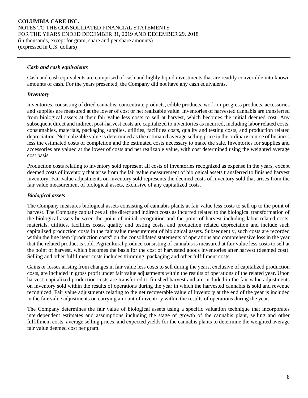#### *Cash and cash equivalents*

Cash and cash equivalents are comprised of cash and highly liquid investments that are readily convertible into known amounts of cash. For the years presented, the Company did not have any cash equivalents.

#### *Inventory*

Inventories, consisting of dried cannabis, concentrate products, edible products, work-in-progress products, accessories and supplies are measured at the lower of cost or net realizable value. Inventories of harvested cannabis are transferred from biological assets at their fair value less costs to sell at harvest, which becomes the initial deemed cost. Any subsequent direct and indirect post-harvest costs are capitalized to inventories as incurred, including labor related costs, consumables, materials, packaging supplies, utilities, facilities costs, quality and testing costs, and production related depreciation. Net realizable value is determined as the estimated average selling price in the ordinary course of business less the estimated costs of completion and the estimated costs necessary to make the sale. Inventories for supplies and accessories are valued at the lower of costs and net realizable value, with cost determined using the weighted average cost basis.

Production costs relating to inventory sold represent all costs of inventories recognized as expense in the years, except deemed costs of inventory that arise from the fair value measurement of biological assets transferred to finished harvest inventory. Fair value adjustments on inventory sold represents the deemed costs of inventory sold that arises from the fair value measurement of biological assets, exclusive of any capitalized costs.

#### *Biological assets*

The Company measures biological assets consisting of cannabis plants at fair value less costs to sell up to the point of harvest. The Company capitalizes all the direct and indirect costs as incurred related to the biological transformation of the biological assets between the point of initial recognition and the point of harvest including labor related costs, materials, utilities, facilities costs, quality and testing costs, and production related depreciation and include such capitalized production costs in the fair value measurement of biological assets. Subsequently, such costs are recorded within the line item "production costs" on the consolidated statements of operations and comprehensive loss in the year that the related product is sold. Agricultural produce consisting of cannabis is measured at fair value less costs to sell at the point of harvest, which becomes the basis for the cost of harvested goods inventories after harvest (deemed cost). Selling and other fulfillment costs includes trimming, packaging and other fulfillment costs.

Gains or losses arising from changes in fair value less costs to sell during the years, exclusive of capitalized production costs, are included in gross profit under fair value adjustments within the results of operations of the related year. Upon harvest, capitalized production costs are transferred to finished harvest and are included in the fair value adjustments on inventory sold within the results of operations during the year in which the harvested cannabis is sold and revenue recognized. Fair value adjustments relating to the net recoverable value of inventory at the end of the year is included in the fair value adjustments on carrying amount of inventory within the results of operations during the year.

The Company determines the fair value of biological assets using a specific valuation technique that incorporates interdependent estimates and assumptions including the stage of growth of the cannabis plant, selling and other fulfillment costs, average selling prices, and expected yields for the cannabis plants to determine the weighted average fair value deemed cost per gram.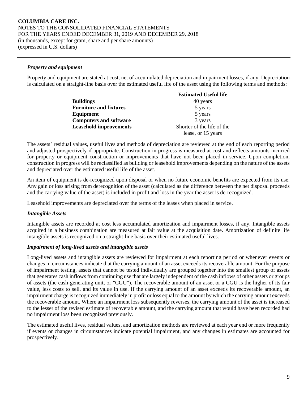#### *Property and equipment*

Property and equipment are stated at cost, net of accumulated depreciation and impairment losses, if any. Depreciation is calculated on a straight-line basis over the estimated useful life of the asset using the following terms and methods:

|                               | <b>Estimated Useful life</b> |  |  |  |
|-------------------------------|------------------------------|--|--|--|
| <b>Buildings</b>              | 40 years                     |  |  |  |
| <b>Furniture and fixtures</b> | 5 years                      |  |  |  |
| Equipment                     | 5 years                      |  |  |  |
| <b>Computers and software</b> | 3 years                      |  |  |  |
| <b>Leasehold improvements</b> | Shorter of the life of the   |  |  |  |
|                               | lease, or 15 years           |  |  |  |

The assets' residual values, useful lives and methods of depreciation are reviewed at the end of each reporting period and adjusted prospectively if appropriate. Construction in progress is measured at cost and reflects amounts incurred for property or equipment construction or improvements that have not been placed in service. Upon completion, construction in progress will be reclassified as building or leasehold improvements depending on the nature of the assets and depreciated over the estimated useful life of the asset.

An item of equipment is de-recognized upon disposal or when no future economic benefits are expected from its use. Any gain or loss arising from derecognition of the asset (calculated as the difference between the net disposal proceeds and the carrying value of the asset) is included in profit and loss in the year the asset is de-recognized.

Leasehold improvements are depreciated over the terms of the leases when placed in service.

# *Intangible Assets*

Intangible assets are recorded at cost less accumulated amortization and impairment losses, if any. Intangible assets acquired in a business combination are measured at fair value at the acquisition date. Amortization of definite life intangible assets is recognized on a straight-line basis over their estimated useful lives.

#### *Impairment of long-lived assets and intangible assets*

Long-lived assets and intangible assets are reviewed for impairment at each reporting period or whenever events or changes in circumstances indicate that the carrying amount of an asset exceeds its recoverable amount. For the purpose of impairment testing, assets that cannot be tested individually are grouped together into the smallest group of assets that generates cash inflows from continuing use that are largely independent of the cash inflows of other assets or groups of assets (the cash-generating unit, or "CGU"). The recoverable amount of an asset or a CGU is the higher of its fair value, less costs to sell, and its value in use. If the carrying amount of an asset exceeds its recoverable amount, an impairment charge is recognized immediately in profit or loss equal to the amount by which the carrying amount exceeds the recoverable amount. Where an impairment loss subsequently reverses, the carrying amount of the asset is increased to the lesser of the revised estimate of recoverable amount, and the carrying amount that would have been recorded had no impairment loss been recognized previously.

The estimated useful lives, residual values, and amortization methods are reviewed at each year end or more frequently if events or changes in circumstances indicate potential impairment, and any changes in estimates are accounted for prospectively.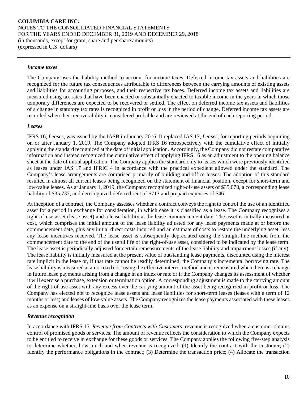#### *Income taxes*

The Company uses the liability method to account for income taxes. Deferred income tax assets and liabilities are recognized for the future tax consequences attributable to differences between the carrying amounts of existing assets and liabilities for accounting purposes, and their respective tax bases. Deferred income tax assets and liabilities are measured using tax rates that have been enacted or substantially enacted to taxable income in the years in which those temporary differences are expected to be recovered or settled. The effect on deferred income tax assets and liabilities of a change in statutory tax rates is recognized in profit or loss in the period of change. Deferred income tax assets are recorded when their recoverability is considered probable and are reviewed at the end of each reporting period.

#### *Leases*

IFRS 16, *Leases*, was issued by the IASB in January 2016. It replaced IAS 17, *Leases*, for reporting periods beginning on or after January 1, 2019. The Company adopted IFRS 16 retrospectively with the cumulative effect of initially applying the standard recognized at the date of initial application. Accordingly, the Company did not restate comparative information and instead recognized the cumulative effect of applying IFRS 16 as an adjustment to the opening balance sheet at the date of initial application. The Company applies the standard only to leases which were previously identified as leases under IAS 17 and IFRIC 4 in accordance with the practical expedient allowed under the standard. The Company's lease arrangements are comprised primarily of building and office leases. The adoption of this standard resulted in almost all current leases being recognized on the statement of financial position, except for short-term and low-value leases. As at January 1, 2019, the Company recognized right-of-use assets of \$35,070, a corresponding lease liability of \$35,737, and derecognized deferred rent of \$713 and prepaid expenses of \$46.

At inception of a contract, the Company assesses whether a contract conveys the right to control the use of an identified asset for a period in exchange for consideration, in which case it is classified as a lease. The Company recognizes a right-of-use asset (lease asset) and a lease liability at the lease commencement date. The asset is initially measured at cost, which comprises the initial amount of the lease liability adjusted for any lease payments made at or before the commencement date, plus any initial direct costs incurred and an estimate of costs to restore the underlying asset, less any lease incentives received. The lease asset is subsequently depreciated using the straight-line method from the commencement date to the end of the useful life of the right-of-use asset, considered to be indicated by the lease term. The lease asset is periodically adjusted for certain remeasurements of the lease liability and impairment losses (if any). The lease liability is initially measured at the present value of outstanding lease payments, discounted using the interest rate implicit in the lease or, if that rate cannot be readily determined, the Company's incremental borrowing rate. The lease liability is measured at amortized cost using the effective interest method and is remeasured when there is a change in future lease payments arising from a change in an index or rate or if the Company changes its assessment of whether it will exercise a purchase, extension or termination option. A corresponding adjustment is made to the carrying amount of the right-of-use asset with any excess over the carrying amount of the asset being recognized in profit or loss. The Company has elected not to recognize lease assets and lease liabilities for short-term leases (leases with a term of 12 months or less) and leases of low-value assets. The Company recognizes the lease payments associated with these leases as an expense on a straight-line basis over the lease term.

#### *Revenue recognition*

In accordance with IFRS 15, *Revenue from Contracts with Customers,* revenue is recognized when a customer obtains control of promised goods or services. The amount of revenue reflects the consideration to which the Company expects to be entitled to receive in exchange for these goods or services. The Company applies the following five-step analysis to determine whether, how much and when revenue is recognized: (1) Identify the contract with the customer; (2) Identify the performance obligations in the contract; (3) Determine the transaction price; (4) Allocate the transaction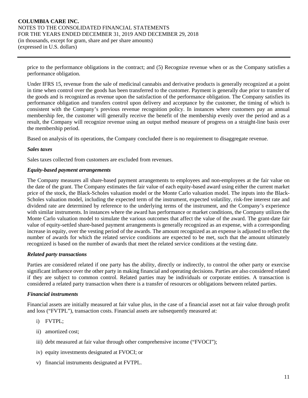price to the performance obligations in the contract; and (5) Recognize revenue when or as the Company satisfies a performance obligation.

Under IFRS 15, revenue from the sale of medicinal cannabis and derivative products is generally recognized at a point in time when control over the goods has been transferred to the customer. Payment is generally due prior to transfer of the goods and is recognized as revenue upon the satisfaction of the performance obligation. The Company satisfies its performance obligation and transfers control upon delivery and acceptance by the customer, the timing of which is consistent with the Company's previous revenue recognition policy. In instances where customers pay an annual membership fee, the customer will generally receive the benefit of the membership evenly over the period and as a result, the Company will recognize revenue using an output method measure of progress on a straight-line basis over the membership period.

Based on analysis of its operations, the Company concluded there is no requirement to disaggregate revenue.

#### *Sales taxes*

Sales taxes collected from customers are excluded from revenues.

#### *Equity-based payment arrangements*

The Company measures all share-based payment arrangements to employees and non-employees at the fair value on the date of the grant. The Company estimates the fair value of each equity-based award using either the current market price of the stock, the Black-Scholes valuation model or the Monte Carlo valuation model. The inputs into the Black-Scholes valuation model, including the expected term of the instrument, expected volatility, risk-free interest rate and dividend rate are determined by reference to the underlying terms of the instrument, and the Company's experience with similar instruments. In instances where the award has performance or market conditions, the Company utilizes the Monte Carlo valuation model to simulate the various outcomes that affect the value of the award. The grant-date fair value of equity-settled share-based payment arrangements is generally recognized as an expense, with a corresponding increase in equity, over the vesting period of the awards. The amount recognized as an expense is adjusted to reflect the number of awards for which the related service conditions are expected to be met, such that the amount ultimately recognized is based on the number of awards that meet the related service conditions at the vesting date.

#### *Related party transactions*

Parties are considered related if one party has the ability, directly or indirectly, to control the other party or exercise significant influence over the other party in making financial and operating decisions. Parties are also considered related if they are subject to common control. Related parties may be individuals or corporate entities. A transaction is considered a related party transaction when there is a transfer of resources or obligations between related parties.

#### *Financial instruments*

Financial assets are initially measured at fair value plus, in the case of a financial asset not at fair value through profit and loss ("FVTPL"), transaction costs. Financial assets are subsequently measured at:

- i) FVTPL;
- ii) amortized cost;
- iii) debt measured at fair value through other comprehensive income ("FVOCI");
- iv) equity investments designated at FVOCI; or
- v) financial instruments designated at FVTPL.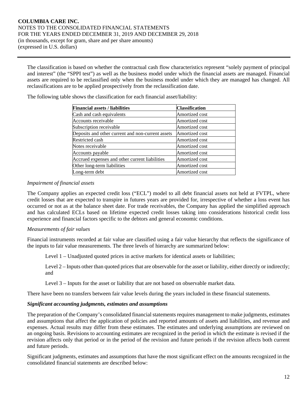The classification is based on whether the contractual cash flow characteristics represent "solely payment of principal and interest" (the "SPPI test") as well as the business model under which the financial assets are managed. Financial assets are required to be reclassified only when the business model under which they are managed has changed. All reclassifications are to be applied prospectively from the reclassification date.

| <b>Financial assets / liabilities</b>             | <b>Classification</b> |
|---------------------------------------------------|-----------------------|
| Cash and cash equivalents                         | Amortized cost        |
| Accounts receivable                               | Amortized cost        |
| Subscription receivable                           | Amortized cost        |
| Deposits and other current and non-current assets | Amortized cost        |
| Restricted cash                                   | Amortized cost        |
| Notes receivable                                  | Amortized cost        |
| Accounts payable                                  | Amortized cost        |
| Accrued expenses and other current liabilities    | Amortized cost        |
| Other long-term liabilities                       | Amortized cost        |
| Long-term debt                                    | Amortized cost        |

The following table shows the classification for each financial asset/liability:

#### *Impairment of financial assets*

The Company applies an expected credit loss ("ECL") model to all debt financial assets not held at FVTPL, where credit losses that are expected to transpire in futures years are provided for, irrespective of whether a loss event has occurred or not as at the balance sheet date. For trade receivables, the Company has applied the simplified approach and has calculated ECLs based on lifetime expected credit losses taking into considerations historical credit loss experience and financial factors specific to the debtors and general economic conditions.

#### *Measurements of fair values*

Financial instruments recorded at fair value are classified using a fair value hierarchy that reflects the significance of the inputs to fair value measurements. The three levels of hierarchy are summarized below:

Level 1 – Unadjusted quoted prices in active markets for identical assets or liabilities;

Level 2 – Inputs other than quoted prices that are observable for the asset or liability, either directly or indirectly; and

Level 3 – Inputs for the asset or liability that are not based on observable market data.

There have been no transfers between fair value levels during the years included in these financial statements.

#### *Significant accounting judgments, estimates and assumptions*

The preparation of the Company's consolidated financial statements requires management to make judgments, estimates and assumptions that affect the application of policies and reported amounts of assets and liabilities, and revenue and expenses. Actual results may differ from these estimates. The estimates and underlying assumptions are reviewed on an ongoing basis. Revisions to accounting estimates are recognized in the period in which the estimate is revised if the revision affects only that period or in the period of the revision and future periods if the revision affects both current and future periods.

Significant judgments, estimates and assumptions that have the most significant effect on the amounts recognized in the consolidated financial statements are described below: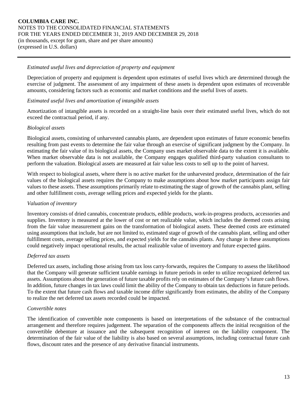#### *Estimated useful lives and depreciation of property and equipment*

Depreciation of property and equipment is dependent upon estimates of useful lives which are determined through the exercise of judgment. The assessment of any impairment of these assets is dependent upon estimates of recoverable amounts, considering factors such as economic and market conditions and the useful lives of assets.

#### *Estimated useful lives and amortization of intangible assets*

Amortization of intangible assets is recorded on a straight-line basis over their estimated useful lives, which do not exceed the contractual period, if any.

#### *Biological assets*

Biological assets, consisting of unharvested cannabis plants, are dependent upon estimates of future economic benefits resulting from past events to determine the fair value through an exercise of significant judgment by the Company. In estimating the fair value of its biological assets, the Company uses market observable data to the extent it is available. When market observable data is not available, the Company engages qualified third-party valuation consultants to perform the valuation. Biological assets are measured at fair value less costs to sell up to the point of harvest.

With respect to biological assets, where there is no active market for the unharvested produce, determination of the fair values of the biological assets requires the Company to make assumptions about how market participants assign fair values to these assets. These assumptions primarily relate to estimating the stage of growth of the cannabis plant, selling and other fulfillment costs, average selling prices and expected yields for the plants.

#### *Valuation of inventory*

Inventory consists of dried cannabis, concentrate products, edible products, work-in-progress products, accessories and supplies. Inventory is measured at the lower of cost or net realizable value, which includes the deemed costs arising from the fair value measurement gains on the transformation of biological assets. These deemed costs are estimated using assumptions that include, but are not limited to, estimated stage of growth of the cannabis plant, selling and other fulfillment costs, average selling prices, and expected yields for the cannabis plants. Any change in these assumptions could negatively impact operational results, the actual realizable value of inventory and future expected gains.

#### *Deferred tax assets*

Deferred tax assets, including those arising from tax loss carry-forwards, requires the Company to assess the likelihood that the Company will generate sufficient taxable earnings in future periods in order to utilize recognized deferred tax assets. Assumptions about the generation of future taxable profits rely on estimates of the Company's future cash flows. In addition, future changes in tax laws could limit the ability of the Company to obtain tax deductions in future periods. To the extent that future cash flows and taxable income differ significantly from estimates, the ability of the Company to realize the net deferred tax assets recorded could be impacted.

#### *Convertible notes*

The identification of convertible note components is based on interpretations of the substance of the contractual arrangement and therefore requires judgement. The separation of the components affects the initial recognition of the convertible debenture at issuance and the subsequent recognition of interest on the liability component. The determination of the fair value of the liability is also based on several assumptions, including contractual future cash flows, discount rates and the presence of any derivative financial instruments.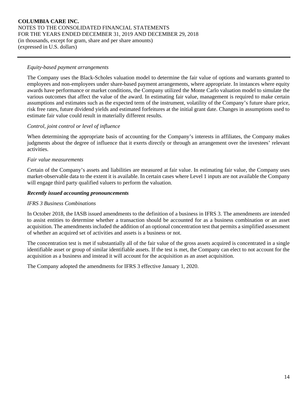### *Equity-based payment arrangements*

The Company uses the Black-Scholes valuation model to determine the fair value of options and warrants granted to employees and non-employees under share-based payment arrangements, where appropriate. In instances where equity awards have performance or market conditions, the Company utilized the Monte Carlo valuation model to simulate the various outcomes that affect the value of the award. In estimating fair value, management is required to make certain assumptions and estimates such as the expected term of the instrument, volatility of the Company's future share price, risk free rates, future dividend yields and estimated forfeitures at the initial grant date. Changes in assumptions used to estimate fair value could result in materially different results.

# *Control, joint control or level of influence*

When determining the appropriate basis of accounting for the Company's interests in affiliates, the Company makes judgments about the degree of influence that it exerts directly or through an arrangement over the investees' relevant activities.

#### *Fair value measurements*

Certain of the Company's assets and liabilities are measured at fair value. In estimating fair value, the Company uses market-observable data to the extent it is available. In certain cases where Level 1 inputs are not available the Company will engage third party qualified valuers to perform the valuation.

#### *Recently issued accounting pronouncements*

#### *IFRS 3 Business Combinations*

In October 2018, the IASB issued amendments to the definition of a business in IFRS 3. The amendments are intended to assist entities to determine whether a transaction should be accounted for as a business combination or an asset acquisition. The amendments included the addition of an optional concentration test that permits a simplified assessment of whether an acquired set of activities and assets is a business or not.

The concentration test is met if substantially all of the fair value of the gross assets acquired is concentrated in a single identifiable asset or group of similar identifiable assets. If the test is met, the Company can elect to not account for the acquisition as a business and instead it will account for the acquisition as an asset acquisition.

The Company adopted the amendments for IFRS 3 effective January 1, 2020.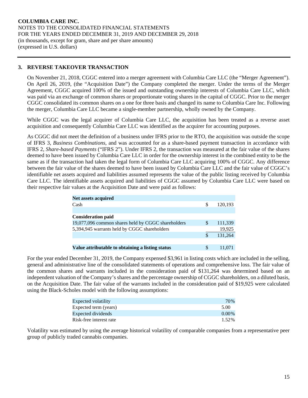# **3. REVERSE TAKEOVER TRANSACTION**

On November 21, 2018, CGGC entered into a merger agreement with Columbia Care LLC (the "Merger Agreement"). On April 26, 2019, (the "Acquisition Date") the Company completed the merger. Under the terms of the Merger Agreement, CGGC acquired 100% of the issued and outstanding ownership interests of Columbia Care LLC, which was paid via an exchange of common shares or proportionate voting shares in the capital of CGGC. Prior to the merger CGGC consolidated its common shares on a one for three basis and changed its name to Columbia Care Inc. Following the merger, Columbia Care LLC became a single-member partnership, wholly owned by the Company.

While CGGC was the legal acquirer of Columbia Care LLC, the acquisition has been treated as a reverse asset acquisition and consequently Columbia Care LLC was identified as the acquirer for accounting purposes.

As CGGC did not meet the definition of a business under IFRS prior to the RTO, the acquisition was outside the scope of IFRS 3, *Business Combinations*, and was accounted for as a share-based payment transaction in accordance with IFRS 2, *Share-based Payments* ("IFRS 2"). Under IFRS 2, the transaction was measured at the fair value of the shares deemed to have been issued by Columbia Care LLC in order for the ownership interest in the combined entity to be the same as if the transaction had taken the legal form of Columbia Care LLC acquiring 100% of CGGC. Any difference between the fair value of the shares deemed to have been issued by Columbia Care LLC and the fair value of CGGC's identifiable net assets acquired and liabilities assumed represents the value of the public listing received by Columbia Care LLC. The identifiable assets acquired and liabilities of CGGC assumed by Columbia Care LLC were based on their respective fair values at the Acquisition Date and were paid as follows:

| <b>Net assets acquired</b>                         |   |         |
|----------------------------------------------------|---|---------|
| Cash                                               | S | 120.193 |
|                                                    |   |         |
| <b>Consideration paid</b>                          |   |         |
| 19,077,096 common shares held by CGGC shareholders | S | 111,339 |
| 5,394,945 warrants held by CGGC shareholders       |   | 19,925  |
|                                                    |   | 131.264 |
|                                                    |   |         |
| Value attributable to obtaining a listing status   |   |         |

For the year ended December 31, 2019, the Company expensed \$3,961 in listing costs which are included in the selling, general and administrative line of the consolidated statements of operations and comprehensive loss. The fair value of the common shares and warrants included in the consideration paid of \$131,264 was determined based on an independent valuation of the Company's shares and the percentage ownership of CGGC shareholders, on a diluted basis, on the Acquisition Date. The fair value of the warrants included in the consideration paid of \$19,925 were calculated using the Black-Scholes model with the following assumptions:

| Expected volatility     | 70%      |
|-------------------------|----------|
| Expected term (years)   | 5.00     |
| Expected dividends      | $0.00\%$ |
| Risk-free interest rate | 1.52%    |

Volatility was estimated by using the average historical volatility of comparable companies from a representative peer group of publicly traded cannabis companies.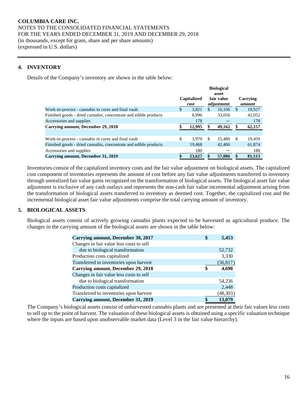### **4. INVENTORY**

Details of the Company's inventory are shown in the table below:

|                                                                  | <b>Biological</b><br>asset |                            |     |                          |          |                    |
|------------------------------------------------------------------|----------------------------|----------------------------|-----|--------------------------|----------|--------------------|
|                                                                  |                            | <b>Capitalized</b><br>cost |     | fair value<br>adjustment |          | Carrying<br>amount |
| Work-in-process - cannabis in cures and final vault              | S                          | 3.821                      | \$. | 16.106                   | <b>S</b> | 19,927             |
| Finished goods - dried cannabis, concentrate and edible products |                            | 8.996                      |     | 33,056                   |          | 42,052             |
| Accessories and supplies                                         |                            | 178                        |     |                          |          | 178                |
| Carrying amount, December 29, 2018                               |                            | 12,995                     |     | 49,162                   | S        | 62,157             |
|                                                                  |                            |                            |     |                          |          |                    |
| Work-in-process - cannabis in cures and final vault              | \$                         | 3.979                      | -S  | 15.480                   | -S       | 19,459             |
| Finished goods - dried cannabis, concentrate and edible products |                            | 19,468                     |     | 42,406                   |          | 61,874             |
| Accessories and supplies                                         |                            | 180                        |     |                          |          | 180                |
| Carrying amount, December 31, 2019                               |                            | 23,627                     |     | 57,886                   |          | 81,513             |

Inventories consist of the capitalized inventory costs and the fair value adjustment on biological assets. The capitalized cost component of inventories represents the amount of cost before any fair value adjustments transferred to inventory through unrealized fair value gains recognized on the transformation of biological assets. The biological asset fair value adjustment is exclusive of any cash outlays and represents the non-cash fair value incremental adjustment arising from the transformation of biological assets transferred to inventory as deemed cost. Together, the capitalized cost and the incremental biological asset fair value adjustments comprise the total carrying amount of inventory.

# **5. BIOLOGICAL ASSETS**

Biological assets consist of actively growing cannabis plants expected to be harvested as agricultural produce. The changes in the carrying amount of the biological assets are shown in the table below:

| <b>Carrying amount, December 30, 2017</b> | 5,453       |
|-------------------------------------------|-------------|
| Changes in fair value less costs to sell  |             |
| due to biological transformation          | 52,732      |
| Production costs capitalized              | 3,330       |
| Transferred to inventories upon harvest   | (56, 817)   |
| <b>Carrying amount, December 29, 2018</b> | \$<br>4,698 |
| Changes in fair value less costs to sell  |             |
| due to biological transformation          | 54,236      |
| Production costs capitalized              | 2,448       |
| Transferred to inventories upon harvest   | (48, 303)   |
| Carrying amount, December 31, 2019        | 13,079      |

The Company's biological assets consist of unharvested cannabis plants and are presented at their fair values less costs to sell up to the point of harvest. The valuation of these biological assets is obtained using a specific valuation technique where the inputs are based upon unobservable market data (Level 3 in the fair value hierarchy).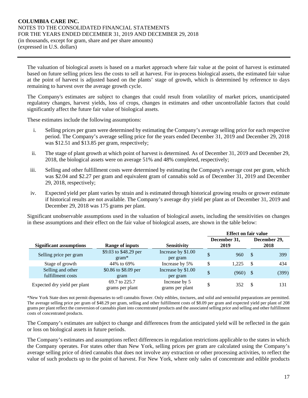The valuation of biological assets is based on a market approach where fair value at the point of harvest is estimated based on future selling prices less the costs to sell at harvest. For in-process biological assets, the estimated fair value at the point of harvest is adjusted based on the plants' stage of growth, which is determined by reference to days remaining to harvest over the average growth cycle.

The Company's estimates are subject to changes that could result from volatility of market prices, unanticipated regulatory changes, harvest yields, loss of crops, changes in estimates and other uncontrollable factors that could significantly affect the future fair value of biological assets.

These estimates include the following assumptions:

- i. Selling prices per gram were determined by estimating the Company's average selling price for each respective period. The Company's average selling price for the years ended December 31, 2019 and December 29, 2018 was \$12.51 and \$13.85 per gram, respectively;
- ii. The stage of plant growth at which point of harvest is determined. As of December 31, 2019 and December 29, 2018, the biological assets were on average 51% and 48% completed, respectively;
- iii. Selling and other fulfillment costs were determined by estimating the Company's average cost per gram, which was \$2.04 and \$2.27 per gram and equivalent gram of cannabis sold as of December 31, 2019 and December 29, 2018, respectively;
- iv. Expected yield per plant varies by strain and is estimated through historical growing results or grower estimate if historical results are not available. The Company's average dry yield per plant as of December 31, 2019 and December 29, 2018 was 175 grams per plant.

Significant unobservable assumptions used in the valuation of biological assets, including the sensitivities on changes in these assumptions and their effect on the fair value of biological assets, are shown in the table below:

|                                        |                                  |                                  | <b>Effect on fair value</b> |                      |      |                      |
|----------------------------------------|----------------------------------|----------------------------------|-----------------------------|----------------------|------|----------------------|
| <b>Significant assumptions</b>         | <b>Range of inputs</b>           | <b>Sensitivity</b>               |                             | December 31,<br>2019 |      | December 29,<br>2018 |
|                                        | \$9.03 to \$48.29 per            | Increase by \$1.00               |                             |                      |      |                      |
| Selling price per gram                 | $gram*$                          | per gram                         | \$                          | 960                  | -S   | 399                  |
| Stage of growth                        | 44% to 69%                       | Increase by 5%                   | \$                          | 1.225                | - \$ | 434                  |
| Selling and other<br>fulfillment costs | \$0.86 to \$8.09 per<br>gram     | Increase by \$1.00<br>per gram   | \$                          | $(960)$ \$           |      | (399)                |
| Expected dry yield per plant           | 69.7 to 225.7<br>grams per plant | Increase by 5<br>grams per plant | \$                          | 352                  | -\$  | 131                  |

\*New York State does not permit dispensaries to sell cannabis flower. Only edibles, tinctures, and solid and semisolid preparations are permitted. The average selling price per gram of \$48.29 per gram, selling and other fulfillment costs of \$8.09 per gram and expected yield per plant of 208 grams per plant reflect the conversion of cannabis plant into concentrated products and the associated selling price and selling and other fulfillment costs of concentrated products.

The Company's estimates are subject to change and differences from the anticipated yield will be reflected in the gain or loss on biological assets in future periods.

The Company's estimates and assumptions reflect differences in regulation restrictions applicable to the states in which the Company operates. For states other than New York, selling prices per gram are calculated using the Company's average selling price of dried cannabis that does not involve any extraction or other processing activities, to reflect the value of such products up to the point of harvest. For New York, where only sales of concentrate and edible products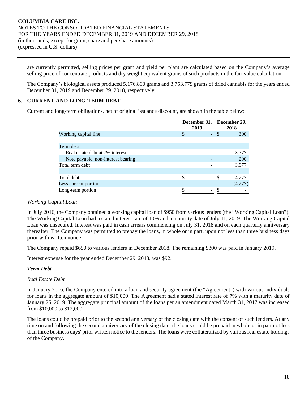are currently permitted, selling prices per gram and yield per plant are calculated based on the Company's average selling price of concentrate products and dry weight equivalent grams of such products in the fair value calculation.

The Company's biological assets produced 5,176,890 grams and 3,753,779 grams of dried cannabis for the years ended December 31, 2019 and December 29, 2018, respectively.

# **6. CURRENT AND LONG-TERM DEBT**

Current and long-term obligations, net of original issuance discount, are shown in the table below:

|                                    | December 31,<br>2019 | December 29,<br>2018 |
|------------------------------------|----------------------|----------------------|
| Working capital line               |                      | 300                  |
|                                    |                      |                      |
| Term debt                          |                      |                      |
| Real estate debt at 7% interest    |                      | 3,777                |
| Note payable, non-interest bearing |                      | <b>200</b>           |
| Total term debt                    |                      | 3,977                |
|                                    |                      |                      |
| Total debt                         | S                    | 4.277                |
| Less current portion               |                      | (4,277)              |
| Long-term portion                  |                      |                      |

#### *Working Capital Loan*

In July 2016, the Company obtained a working capital loan of \$950 from various lenders (the "Working Capital Loan"). The Working Capital Loan had a stated interest rate of 10% and a maturity date of July 11, 2019. The Working Capital Loan was unsecured. Interest was paid in cash arrears commencing on July 31, 2018 and on each quarterly anniversary thereafter. The Company was permitted to prepay the loans, in whole or in part, upon not less than three business days prior with written notice.

The Company repaid \$650 to various lenders in December 2018. The remaining \$300 was paid in January 2019.

Interest expense for the year ended December 29, 2018, was \$92.

#### *Term Debt*

#### *Real Estate Debt*

In January 2016, the Company entered into a loan and security agreement (the "Agreement") with various individuals for loans in the aggregate amount of \$10,000. The Agreement had a stated interest rate of 7% with a maturity date of January 25, 2019. The aggregate principal amount of the loans per an amendment dated March 31, 2017 was increased from \$10,000 to \$12,000.

The loans could be prepaid prior to the second anniversary of the closing date with the consent of such lenders. At any time on and following the second anniversary of the closing date, the loans could be prepaid in whole or in part not less than three business days' prior written notice to the lenders. The loans were collateralized by various real estate holdings of the Company.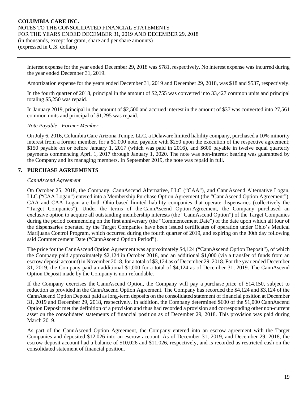Interest expense for the year ended December 29, 2018 was \$781, respectively. No interest expense was incurred during the year ended December 31, 2019.

Amortization expense for the years ended December 31, 2019 and December 29, 2018, was \$18 and \$537, respectively.

In the fourth quarter of 2018, principal in the amount of \$2,755 was converted into 33,427 common units and principal totaling \$5,250 was repaid.

In January 2019, principal in the amount of \$2,500 and accrued interest in the amount of \$37 was converted into 27,561 common units and principal of \$1,295 was repaid.

#### *Note Payable - Former Member*

On July 6, 2016, Columbia Care Arizona Tempe, LLC, a Delaware limited liability company, purchased a 10% minority interest from a former member, for a \$1,000 note, payable with \$250 upon the execution of the respective agreement; \$150 payable on or before January 1, 2017 (which was paid in 2016), and \$600 payable in twelve equal quarterly payments commencing April 1, 2017 through January 1, 2020. The note was non-interest bearing was guaranteed by the Company and its managing members. In September 2019, the note was repaid in full.

# **7. PURCHASE AGREEMENTS**

#### *CannAscend Agreement*

On October 25, 2018, the Company, CannAscend Alternative, LLC ("CAA"), and CannAscend Alternative Logan, LLC ("CAA Logan") entered into a Membership Purchase Option Agreement (the "CannAscend Option Agreement"). CAA and CAA Logan are both Ohio-based limited liability companies that operate dispensaries (collectively the "Target Companies"). Under the terms of the CannAscend Option Agreement, the Company purchased an exclusive option to acquire all outstanding membership interests (the "CannAscend Option") of the Target Companies during the period commencing on the first anniversary (the "Commencement Date") of the date upon which all four of the dispensaries operated by the Target Companies have been issued certificates of operation under Ohio's Medical Marijuana Control Program, which occurred during the fourth quarter of 2019, and expiring on the 30th day following said Commencement Date ("CannAscend Option Period").

The price for the CannAscend Option Agreement was approximately \$4,124 ("CannAscend Option Deposit"), of which the Company paid approximately \$2,124 in October 2018, and an additional \$1,000 (via a transfer of funds from an escrow deposit account) in November 2018, for a total of \$3,124 as of December 29, 2018. For the year ended December 31, 2019, the Company paid an additional \$1,000 for a total of \$4,124 as of December 31, 2019. The CannAscend Option Deposit made by the Company is non-refundable.

If the Company exercises the CannAscend Option, the Company will pay a purchase price of \$14,150, subject to reduction as provided in the CannAscend Option Agreement. The Company has recorded the \$4,124 and \$3,124 of the CannAscend Option Deposit paid as long-term deposits on the consolidated statement of financial position at December 31, 2019 and December 29, 2018, respectively. In addition, the Company determined \$600 of the \$1,000 CannAscend Option Deposit met the definition of a provision and thus had recorded a provision and corresponding other non-current asset on the consolidated statements of financial position as of December 29, 2018. This provision was paid during March 2019.

As part of the CannAscend Option Agreement, the Company entered into an escrow agreement with the Target Companies and deposited \$12,026 into an escrow account. As of December 31, 2019, and December 29, 2018, the escrow deposit account had a balance of \$10,026 and \$11,026, respectively, and is recorded as restricted cash on the consolidated statement of financial position.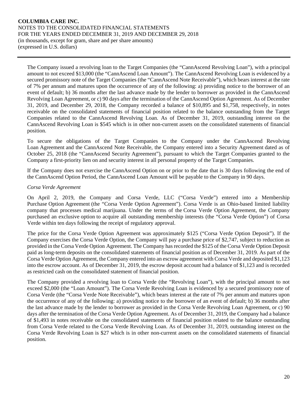The Company issued a revolving loan to the Target Companies (the "CannAscend Revolving Loan"), with a principal amount to not exceed \$13,000 (the "CannAscend Loan Amount"). The CannAscend Revolving Loan is evidenced by a secured promissory note of the Target Companies (the "CannAscend Note Receivable"), which bears interest at the rate of 7% per annum and matures upon the occurrence of any of the following: a) providing notice to the borrower of an event of default; b) 36 months after the last advance made by the lender to borrower as provided in the CannAscend Revolving Loan Agreement, or c) 90 days after the termination of the CannAscend Option Agreement. As of December 31, 2019, and December 29, 2018, the Company recorded a balance of \$10,895 and \$1,758, respectively, in notes receivable on the consolidated statements of financial position related to the balance outstanding from the Target Companies related to the CannAscend Revolving Loan. As of December 31, 2019, outstanding interest on the CannAscend Revolving Loan is \$545 which is in other non-current assets on the consolidated statements of financial position.

To secure the obligations of the Target Companies to the Company under the CannAscend Revolving Loan Agreement and the CannAscend Note Receivable, the Company entered into a Security Agreement dated as of October 25, 2018 (the "CannAscend Security Agreement"), pursuant to which the Target Companies granted to the Company a first-priority lien on and security interest in all personal property of the Target Companies.

If the Company does not exercise the CannAscend Option on or prior to the date that is 30 days following the end of the CannAscend Option Period, the CannAscend Loan Amount will be payable to the Company in 90 days.

# *Corsa Verde Agreement*

On April 2, 2019, the Company and Corsa Verde, LLC ("Corsa Verde") entered into a Membership Purchase Option Agreement (the "Corsa Verde Option Agreement"). Corsa Verde is an Ohio-based limited liability company that processes medical marijuana. Under the terms of the Corsa Verde Option Agreement, the Company purchased an exclusive option to acquire all outstanding membership interests (the "Corsa Verde Option") of Corsa Verde within ten days following the receipt of regulatory approval.

The price for the Corsa Verde Option Agreement was approximately \$125 ("Corsa Verde Option Deposit"). If the Company exercises the Corsa Verde Option, the Company will pay a purchase price of \$2,747, subject to reduction as provided in the Corsa Verde Option Agreement. The Company has recorded the \$125 of the Corsa Verde Option Deposit paid as long-term deposits on the consolidated statements of financial position as of December 31, 2019. As part of the Corsa Verde Option Agreement, the Company entered into an escrow agreement with Corsa Verde and deposited \$1,123 into the escrow account. As of December 31, 2019, the escrow deposit account had a balance of \$1,123 and is recorded as restricted cash on the consolidated statement of financial position.

The Company provided a revolving loan to Corsa Verde (the "Revolving Loan"), with the principal amount to not exceed \$2,000 (the "Loan Amount"). The Corsa Verde Revolving Loan is evidenced by a secured promissory note of Corsa Verde (the "Corsa Verde Note Receivable"), which bears interest at the rate of 7% per annum and matures upon the occurrence of any of the following: a) providing notice to the borrower of an event of default; b) 36 months after the last advance made by the lender to borrower as provided in the Corsa Verde Revolving Loan Agreement, or c) 90 days after the termination of the Corsa Verde Option Agreement. As of December 31, 2019, the Company had a balance of \$1,493 in notes receivable on the consolidated statements of financial position related to the balance outstanding from Corsa Verde related to the Corsa Verde Revolving Loan. As of December 31, 2019, outstanding interest on the Corsa Verde Revolving Loan is \$27 which is in other non-current assets on the consolidated statements of financial position.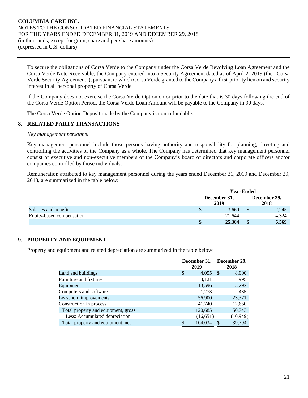To secure the obligations of Corsa Verde to the Company under the Corsa Verde Revolving Loan Agreement and the Corsa Verde Note Receivable, the Company entered into a Security Agreement dated as of April 2, 2019 (the "Corsa Verde Security Agreement"), pursuant to which Corsa Verde granted to the Company a first-priority lien on and security interest in all personal property of Corsa Verde.

If the Company does not exercise the Corsa Verde Option on or prior to the date that is 30 days following the end of the Corsa Verde Option Period, the Corsa Verde Loan Amount will be payable to the Company in 90 days.

The Corsa Verde Option Deposit made by the Company is non-refundable.

#### **8. RELATED PARTY TRANSACTIONS**

#### *Key management personnel*

Key management personnel include those persons having authority and responsibility for planning, directing and controlling the activities of the Company as a whole. The Company has determined that key management personnel consist of executive and non-executive members of the Company's board of directors and corporate officers and/or companies controlled by those individuals.

Remuneration attributed to key management personnel during the years ended December 31, 2019 and December 29, 2018, are summarized in the table below:

|                           | <b>Year Ended</b> |                      |                      |       |
|---------------------------|-------------------|----------------------|----------------------|-------|
|                           |                   | December 31,<br>2019 | December 29,<br>2018 |       |
| Salaries and benefits     |                   | 3,660                |                      | 2,245 |
| Equity-based compensation |                   | 21.644               |                      | 4,324 |
|                           |                   | 25,304               |                      | 6,569 |

# **9. PROPERTY AND EQUIPMENT**

Property and equipment and related depreciation are summarized in the table below:

|                                     | December 31,<br>2019 |   | December 29,<br>2018 |
|-------------------------------------|----------------------|---|----------------------|
| Land and buildings                  | \$<br>4,055          | S | 8,000                |
| Furniture and fixtures              | 3,121                |   | 995                  |
| Equipment                           | 13,596               |   | 5,292                |
| Computers and software              | 1,273                |   | 435                  |
| Leasehold improvements              | 56,900               |   | 23,371               |
| Construction in process             | 41,740               |   | 12,650               |
| Total property and equipment, gross | 120,685              |   | 50,743               |
| Less: Accumulated depreciation      | (16, 651)            |   | (10, 949)            |
| Total property and equipment, net   | 104,034              |   | 39,794               |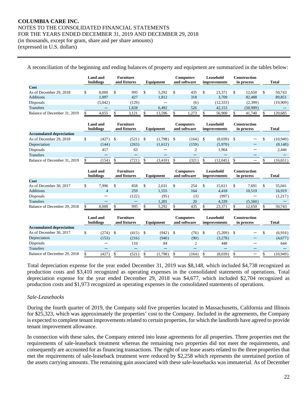(expressed in U.S. dollars)

| A reconciliation of the beginning and ending balances of property and equipment are summarized in the tables below: |                              |                                  |               |      |                                  |                |                           |     |                                   |                 |
|---------------------------------------------------------------------------------------------------------------------|------------------------------|----------------------------------|---------------|------|----------------------------------|----------------|---------------------------|-----|-----------------------------------|-----------------|
|                                                                                                                     | <b>Land</b> and<br>buildings | <b>Furniture</b><br>and fixtures | Equipment     |      | <b>Computers</b><br>and software |                | Leasehold<br>improvements |     | Construction<br>in process        | <b>Total</b>    |
| Cost                                                                                                                |                              |                                  |               |      |                                  |                |                           |     |                                   |                 |
| As of December 29, 2018                                                                                             | \$<br>8.000                  | \$<br>995                        | \$<br>5,292   | \$   | 435                              | \$             | 23,371                    | \$  | 12,650                            | \$<br>50,743    |
| <b>Additions</b>                                                                                                    | 1.097                        | 427                              | 1,812         |      | 318                              |                | 3,709                     |     | 82,488                            | 89,851          |
| Disposals                                                                                                           | (5,042)                      | (129)                            |               |      | (6)                              |                | (12, 333)                 |     | (2,399)                           | (19,909)        |
| <b>Transfers</b>                                                                                                    |                              | 1,828                            | 6,492         |      | 526                              |                | 42,153                    |     | (50, 999)                         |                 |
| Balance of December 31, 2019                                                                                        | \$<br>4,055                  | \$<br>3,121                      | \$<br>13,596  | \$   | 1,273                            | $\overline{v}$ | 56,900                    | \$  | 41,740                            | \$<br>120,685   |
|                                                                                                                     | <b>Land and</b><br>buildings | <b>Furniture</b><br>and fixtures | Equipment     |      | <b>Computers</b><br>and software |                | Leasehold<br>improvements |     | Construction<br>in process        | <b>Total</b>    |
| <b>Accumulated depreciation</b>                                                                                     |                              |                                  |               |      |                                  |                |                           |     |                                   |                 |
| As of December 29, 2018                                                                                             | \$<br>(427)                  | \$<br>(521)                      | \$<br>(1,798) | - \$ | (164)                            | \$             | $(8,039)$ \$              |     |                                   | \$<br>(10, 949) |
| Depreciation                                                                                                        | (144)                        | (263)                            | (1,612)       |      | (159)                            |                | (5,970)                   |     |                                   | (8, 148)        |
| Disposals                                                                                                           | 417                          | 63                               |               |      | 2                                |                | 1,964                     |     |                                   | 2,446           |
| <b>Transfers</b>                                                                                                    |                              |                                  |               |      |                                  |                |                           |     |                                   |                 |
| Balance of December 31, 2019                                                                                        | \$<br>(154)                  | \$<br>(721)                      | \$<br>(3,410) | \$   | (321)                            | \$             | (12,045)                  | \$  |                                   | \$<br>(16, 651) |
|                                                                                                                     | <b>Land and</b><br>buildings | <b>Furniture</b><br>and fixtures | Equipment     |      | <b>Computers</b><br>and software |                | Leasehold<br>improvements |     | <b>Construction</b><br>in process | <b>Total</b>    |
| Cost                                                                                                                |                              |                                  |               |      |                                  |                |                           |     |                                   |                 |
| As of December 30, 2017                                                                                             | \$<br>7.996                  | \$<br>858                        | \$<br>2,631   | \$   | 254                              | \$             | 15,611                    | \$  | 7.691                             | \$<br>35,041    |
| <b>Additions</b>                                                                                                    | $\overline{4}$               | 259                              | 1,555         |      | 164                              |                | 4,418                     |     | 10,519                            | 16,919          |
| Disposals                                                                                                           |                              | (122)                            | (95)          |      | (3)                              |                | (997)                     |     |                                   | (1,217)         |
| <b>Transfers</b>                                                                                                    |                              | $\qquad \qquad -$                | 1,201         |      | 20                               |                | 4,339                     |     | (5,560)                           |                 |
| Balance of December 29, 2018                                                                                        | \$<br>8,000                  | \$<br>995                        | \$<br>5,292   | \$   | 435                              | \$             | 23,371                    | \$. | 12,650                            | \$<br>50,743    |
|                                                                                                                     | <b>Land and</b><br>buildings | <b>Furniture</b><br>and fixtures | Equipment     |      | <b>Computers</b><br>and software |                | Leasehold<br>improvements |     | <b>Construction</b><br>in process | <b>Total</b>    |
| <b>Accumulated depreciation</b>                                                                                     |                              |                                  |               |      |                                  |                |                           |     |                                   |                 |
| As of December 30, 2017                                                                                             | \$<br>(274)                  | \$<br>(415)                      | \$<br>(942)   | -\$  | (76)                             | \$             | $(5,209)$ \$              |     |                                   | \$<br>(6,916)   |
| Depreciation                                                                                                        | (153)                        | (216)                            | (940)         |      | (90)                             |                | (3,278)                   |     |                                   | (4,677)         |
| Disposals                                                                                                           |                              | 110                              | 84            |      | $\overline{c}$                   |                | 448                       |     |                                   | 644             |
| <b>Transfers</b>                                                                                                    |                              |                                  | —             |      | $\qquad \qquad -$                |                | —                         |     |                                   |                 |
| Balance of December 29, 2018                                                                                        | \$<br>(427)                  | \$<br>(521)                      | \$<br>(1,798) | \$   | (164)                            | \$             | (8.039)                   | \$  |                                   | \$<br>(10.949)  |

Total depreciation expense for the year ended December 31, 2019 was \$8,148, which included \$4,738 recognized as production costs and \$3,410 recognized as operating expenses in the consolidated statements of operations. Total depreciation expense for the year ended December 29, 2018 was \$4,677, which included \$2,704 recognized as production costs and \$1,973 recognized as operating expenses in the consolidated statements of operations.

# *Sale-Leasebacks*

During the fourth quarter of 2019, the Company sold five properties located in Massachusetts, California and Illinois for \$25,323, which was approximately the properties' cost to the Company. Included in the agreements, the Company is expected to complete tenant improvements related to certain properties, for which the landlords have agreed to provide tenant improvement allowance.

In connection with these sales, the Company entered into lease agreements for all properties. Three properties met the requirements of sale-leaseback treatment whereas the remaining two properties did not meet the requirements, and consequently are accounted for as financing transactions. The right of use lease assets related to the three properties that met the requirements of sale-leaseback treatment were reduced by \$2,258 which represents the unretained portion of the assets carrying amounts. The remaining gain associated with these sale-leasebacks was immaterial. As of December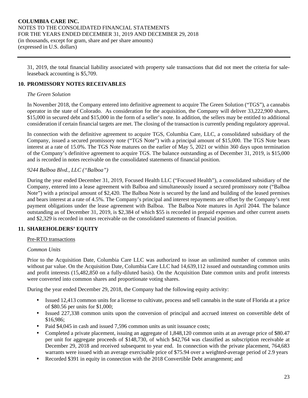31, 2019, the total financial liability associated with property sale transactions that did not meet the criteria for saleleaseback accounting is \$5,709.

# **10. PROMISSORY NOTES RECEIVABLES**

#### *The Green Solution*

In November 2018, the Company entered into definitive agreement to acquire The Green Solution ("TGS"), a cannabis operator in the state of Colorado. As consideration for the acquisition, the Company will deliver 33,222,900 shares, \$15,000 in secured debt and \$15,000 in the form of a seller's note. In addition, the sellers may be entitled to additional consideration if certain financial targets are met. The closing of the transaction is currently pending regulatory approval.

In connection with the definitive agreement to acquire TGS, Columbia Care, LLC, a consolidated subsidiary of the Company, issued a secured promissory note ("TGS Note") with a principal amount of \$15,000. The TGS Note bears interest at a rate of 15.0%. The TGS Note matures on the earlier of May 5, 2021 or within 360 days upon termination of the Company's definitive agreement to acquire TGS. The balance outstanding as of December 31, 2019, is \$15,000 and is recorded in notes receivable on the consolidated statements of financial position.

#### *9244 Balboa Blvd., LLC ("Balboa")*

During the year ended December 31, 2019, Focused Health LLC ("Focused Health"), a consolidated subsidiary of the Company, entered into a lease agreement with Balboa and simultaneously issued a secured promissory note ("Balboa Note") with a principal amount of \$2,420. The Balboa Note is secured by the land and building of the leased premises and bears interest at a rate of 4.5%. The Company's principal and interest repayments are offset by the Company's rent payment obligations under the lease agreement with Balboa. The Balboa Note matures in April 2044. The balance outstanding as of December 31, 2019, is \$2,384 of which \$55 is recorded in prepaid expenses and other current assets and \$2,329 is recorded in notes receivable on the consolidated statements of financial position.

# **11. SHAREHOLDERS' EQUITY**

#### Pre-RTO transactions

#### *Common Units*

Prior to the Acquisition Date, Columbia Care LLC was authorized to issue an unlimited number of common units without par value. On the Acquisition Date, Columbia Care LLC had 14,639,112 issued and outstanding common units and profit interests (15,482,850 on a fully-diluted basis). On the Acquisition Date common units and profit interests were converted into common shares and proportionate voting shares.

During the year ended December 29, 2018, the Company had the following equity activity:

- Issued 12,413 common units for a license to cultivate, process and sell cannabis in the state of Florida at a price of \$80.56 per units for \$1,000;
- Issued 227,338 common units upon the conversion of principal and accrued interest on convertible debt of \$16,986;
- Paid \$4,045 in cash and issued 7,596 common units as unit issuance costs;
- Completed a private placement, issuing an aggregate of 1,848,120 common units at an average price of \$80.47 per unit for aggregate proceeds of \$148,730, of which \$42,764 was classified as subscription receivable at December 29, 2018 and received subsequent to year end. In connection with the private placement, 764,683 warrants were issued with an average exercisable price of \$75.94 over a weighted-average period of 2.9 years
- Recorded \$391 in equity in connection with the 2018 Convertible Debt arrangement; and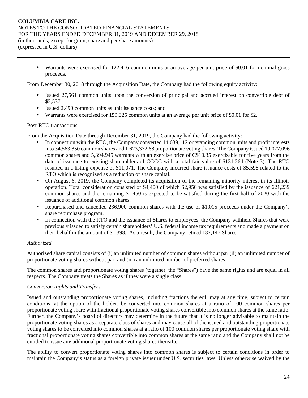• Warrants were exercised for 122,416 common units at an average per unit price of \$0.01 for nominal gross proceeds.

From December 30, 2018 through the Acquisition Date, the Company had the following equity activity:

- Issued 27,561 common units upon the conversion of principal and accrued interest on convertible debt of \$2,537.
- Issued 2,490 common units as unit issuance costs; and
- Warrants were exercised for 159,325 common units at an average per unit price of \$0.01 for \$2.

#### Post-RTO transactions

From the Acquisition Date through December 31, 2019, the Company had the following activity:

- In connection with the RTO, the Company converted 14,639,112 outstanding common units and profit interests into 34,563,850 common shares and 1,623,372.68 proportionate voting shares. The Company issued 19,077,096 common shares and 5,394,945 warrants with an exercise price of C\$10.35 exercisable for five years from the date of issuance to existing shareholders of CGGC with a total fair value of \$131,264 (Note 3). The RTO resulted in a listing expense of \$11,071. The Company incurred share issuance costs of \$5,598 related to the RTO which is recognized as a reduction of share capital.
- On August 6, 2019, the Company completed its acquisition of the remaining minority interest in its Illinois operation. Total consideration consisted of \$4,400 of which \$2,950 was satisfied by the issuance of 621,239 common shares and the remaining \$1,450 is expected to be satisfied during the first half of 2020 with the issuance of additional common shares.
- Repurchased and cancelled 236,900 common shares with the use of \$1,015 proceeds under the Company's share repurchase program.
- In connection with the RTO and the issuance of Shares to employees, the Company withheld Shares that were previously issued to satisfy certain shareholders' U.S. federal income tax requirements and made a payment on their behalf in the amount of \$1,398. As a result, the Company retired 187,147 Shares.

# *Authorized*

Authorized share capital consists of (i) an unlimited number of common shares without par (ii) an unlimited number of proportionate voting shares without par, and (iii) an unlimited number of preferred shares.

The common shares and proportionate voting shares (together, the "Shares") have the same rights and are equal in all respects. The Company treats the Shares as if they were a single class.

#### *Conversion Rights and Transfers*

Issued and outstanding proportionate voting shares, including fractions thereof, may at any time, subject to certain conditions, at the option of the holder, be converted into common shares at a ratio of 100 common shares per proportionate voting share with fractional proportionate voting shares convertible into common shares at the same ratio. Further, the Company's board of directors may determine in the future that it is no longer advisable to maintain the proportionate voting shares as a separate class of shares and may cause all of the issued and outstanding proportionate voting shares to be converted into common shares at a ratio of 100 common shares per proportionate voting share with fractional proportionate voting shares convertible into common shares at the same ratio and the Company shall not be entitled to issue any additional proportionate voting shares thereafter.

The ability to convert proportionate voting shares into common shares is subject to certain conditions in order to maintain the Company's status as a foreign private issuer under U.S. securities laws. Unless otherwise waived by the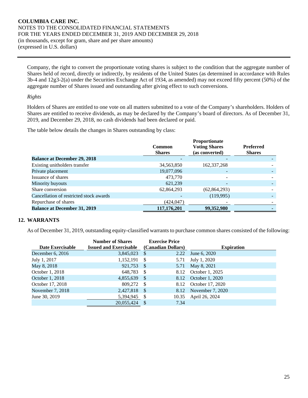Company, the right to convert the proportionate voting shares is subject to the condition that the aggregate number of Shares held of record, directly or indirectly, by residents of the United States (as determined in accordance with Rules 3b-4 and 12g3-2(a) under the Securities Exchange Act of 1934, as amended) may not exceed fifty percent (50%) of the aggregate number of Shares issued and outstanding after giving effect to such conversions.

#### *Rights*

Holders of Shares are entitled to one vote on all matters submitted to a vote of the Company's shareholders. Holders of Shares are entitled to receive dividends, as may be declared by the Company's board of directors. As of December 31, 2019, and December 29, 2018, no cash dividends had been declared or paid.

The table below details the changes in Shares outstanding by class:

|                                         | <b>Common</b><br><b>Shares</b> | Proportionate<br><b>Voting Shares</b><br>(as converted) | <b>Preferred</b><br><b>Shares</b> |
|-----------------------------------------|--------------------------------|---------------------------------------------------------|-----------------------------------|
| <b>Balance at December 29, 2018</b>     |                                |                                                         |                                   |
| Existing unitholders transfer           | 34,563,850                     | 162, 337, 268                                           |                                   |
| Private placement                       | 19,077,096                     |                                                         |                                   |
| Issuance of shares                      | 473,770                        |                                                         |                                   |
| Minority buyouts                        | 621,239                        |                                                         |                                   |
| Share conversion                        | 62,864,293                     | (62, 864, 293)                                          |                                   |
| Cancellation of restricted stock awards |                                | (119,995)                                               |                                   |
| Repurchase of shares                    | (424, 047)                     |                                                         |                                   |
| <b>Balance at December 31, 2019</b>     | 117,176,201                    | 99,352,980                                              |                                   |

# **12. WARRANTS**

As of December 31, 2019, outstanding equity-classified warrants to purchase common shares consisted of the following:

|                    | <b>Number of Shares</b>       |      | <b>Exercise Price</b> |                       |
|--------------------|-------------------------------|------|-----------------------|-----------------------|
| Date Exercisable   | <b>Issued and Exercisable</b> |      | (Canadian Dollars)    | <b>Expiration</b>     |
| December $6, 2016$ | 3,845,023                     | - \$ | 2.22                  | June 6, 2020          |
| July 1, 2017       | 1,152,191                     | -\$  | 5.71                  | July 1, 2020          |
| May 8, 2018        | 921,753                       | - \$ | 5.71                  | May 8, 2021           |
| October 1, 2018    | 648,783                       | - \$ |                       | 8.12 October 1, 2025  |
| October 1, 2018    | 4,855,639                     | - \$ |                       | 8.12 October 1, 2020  |
| October 17, 2018   | 809,272                       | - \$ | 8.12                  | October 17, 2020      |
| November 7, 2018   | 2,427,818                     | - \$ |                       | 8.12 November 7, 2020 |
| June 30, 2019      | 5,394,945                     | - \$ | 10.35                 | April 26, 2024        |
|                    | 20.055.424                    | -S   | 7.34                  |                       |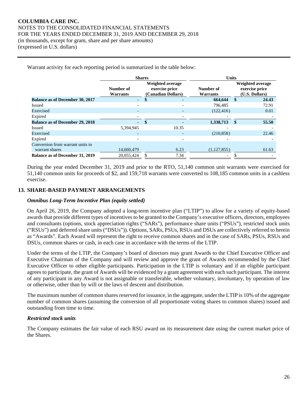Warrant activity for each reporting period is summarized in the table below:

|                                        | <b>Shares</b>                |                                                          | <b>Units</b>             |                       |      |       |                                                      |
|----------------------------------------|------------------------------|----------------------------------------------------------|--------------------------|-----------------------|------|-------|------------------------------------------------------|
|                                        | Number of<br><b>Warrants</b> | Weighted average<br>exercise price<br>(Canadian Dollars) |                          | Number of<br>Warrants |      |       | Weighted average<br>exercise price<br>(U.S. Dollars) |
| <b>Balance as of December 30, 2017</b> | $\mathbf{r}$                 |                                                          | -                        | 664.644               | - \$ | 24.43 |                                                      |
| <b>Issued</b>                          |                              |                                                          |                          | 796.485               |      | 72.91 |                                                      |
| Exercised                              | $\overline{a}$               |                                                          | $\overline{\phantom{0}}$ | (122, 416)            |      | 0.01  |                                                      |
| Expired                                |                              |                                                          |                          |                       |      |       |                                                      |
| <b>Balance as of December 29, 2018</b> | ÷.                           | \$                                                       |                          | 1,338,713             | \$   | 55.50 |                                                      |
| Issued                                 | 5,394,945                    |                                                          | 10.35                    |                       |      |       |                                                      |
| Exercised                              | $\overline{a}$               |                                                          |                          | (210, 858)            |      | 22.46 |                                                      |
| Expired                                |                              |                                                          |                          |                       |      |       |                                                      |
| Conversion from warrant units to       |                              |                                                          |                          |                       |      |       |                                                      |
| warrant shares                         | 14,660,479                   |                                                          | 6.23                     | (1,127,855)           |      | 61.63 |                                                      |
| <b>Balance as of December 31, 2019</b> | 20,055,424                   |                                                          | 7.34                     |                       |      |       |                                                      |

During the year ended December 31, 2019 and prior to the RTO, 51,140 common unit warrants were exercised for 51,140 common units for proceeds of \$2, and 159,718 warrants were converted to 108,185 common units in a cashless exercise.

# **13. SHARE-BASED PAYMENT ARRANGEMENTS**

#### *Omnibus Long-Term Incentive Plan (equity settled)*

On April 26, 2019, the Company adopted a long-term incentive plan ("LTIP") to allow for a variety of equity-based awards that provide different types of incentives to be granted to the Company's executive officers, directors, employees and consultants (options, stock appreciation rights ("SARs"), performance share units ("PSUs"), restricted stock units ("RSUs") and deferred share units ("DSUs")). Options, SARs, PSUs, RSUs and DSUs are collectively referred to herein as "Awards". Each Award will represent the right to receive common shares and in the case of SARs, PSUs, RSUs and DSUs, common shares or cash, in each case in accordance with the terms of the LTIP.

Under the terms of the LTIP, the Company's board of directors may grant Awards to the Chief Executive Officer and Executive Chairman of the Company and will review and approve the grant of Awards recommended by the Chief Executive Officer to other eligible participants. Participation in the LTIP is voluntary and if an eligible participant agrees to participate, the grant of Awards will be evidenced by a grant agreement with each such participant. The interest of any participant in any Award is not assignable or transferable, whether voluntary, involuntary, by operation of law or otherwise, other than by will or the laws of descent and distribution.

The maximum number of common shares reserved for issuance, in the aggregate, under the LTIP is 10% of the aggregate number of common shares (assuming the conversion of all proportionate voting shares to common shares) issued and outstanding from time to time.

### *Restricted stock units*

The Company estimates the fair value of each RSU award on its measurement date using the current market price of the Shares.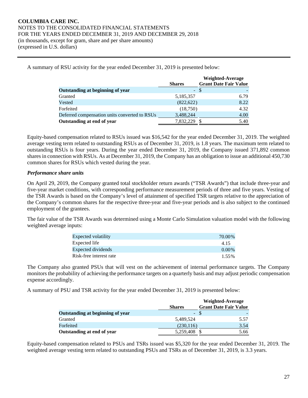A summary of RSU activity for the year ended December 31, 2019 is presented below:

|                                               |               | <b>Weighted-Average</b>      |
|-----------------------------------------------|---------------|------------------------------|
|                                               | <b>Shares</b> | <b>Grant Date Fair Value</b> |
| Outstanding at beginning of year              | $-$ \$        |                              |
| Granted                                       | 5,185,357     | 6.79                         |
| Vested                                        | (822, 622)    | 8.22                         |
| Forfeited                                     | (18,750)      | 4.32                         |
| Deferred compensation units converted to RSUs | 3,488,244     | 4.00                         |
| Outstanding at end of year                    | 7,832,229     | 5.40                         |

Equity-based compensation related to RSUs issued was \$16,542 for the year ended December 31, 2019. The weighted average vesting term related to outstanding RSUs as of December 31, 2019, is 1.8 years. The maximum term related to outstanding RSUs is four years. During the year ended December 31, 2019, the Company issued 371,892 common shares in connection with RSUs. As at December 31, 2019, the Company has an obligation to issue an additional 450,730 common shares for RSUs which vested during the year.

# *Performance share units*

On April 29, 2019, the Company granted total stockholder return awards ("TSR Awards") that include three-year and five-year market conditions, with corresponding performance measurement periods of three and five years. Vesting of the TSR Awards is based on the Company's level of attainment of specified TSR targets relative to the appreciation of the Company's common shares for the respective three-year and five-year periods and is also subject to the continued employment of the grantees.

The fair value of the TSR Awards was determined using a Monte Carlo Simulation valuation model with the following weighted average inputs:

| Expected volatility     | 70.00%   |
|-------------------------|----------|
| Expected life           | 4.15     |
| Expected dividends      | $0.00\%$ |
| Risk-free interest rate | 1.55%    |

The Company also granted PSUs that will vest on the achievement of internal performance targets. The Company monitors the probability of achieving the performance targets on a quarterly basis and may adjust periodic compensation expense accordingly.

A summary of PSU and TSR activity for the year ended December 31, 2019 is presented below:

|                                  |               | Weighted-Average             |
|----------------------------------|---------------|------------------------------|
|                                  | <b>Shares</b> | <b>Grant Date Fair Value</b> |
| Outstanding at beginning of year | - \$          |                              |
| Granted                          | 5.489.524     | 5.57                         |
| Forfeited                        | (230, 116)    | 3.54                         |
| Outstanding at end of year       | 5,259,408     | 5.66                         |

Equity-based compensation related to PSUs and TSRs issued was \$5,320 for the year ended December 31, 2019. The weighted average vesting term related to outstanding PSUs and TSRs as of December 31, 2019, is 3.3 years.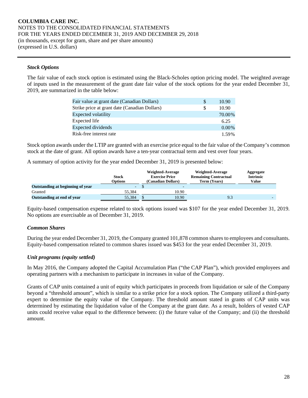#### *Stock Options*

The fair value of each stock option is estimated using the Black-Scholes option pricing model. The weighted average of inputs used in the measurement of the grant date fair value of the stock options for the year ended December 31, 2019, are summarized in the table below:

| Fair value at grant date (Canadian Dollars)   | S | 10.90    |
|-----------------------------------------------|---|----------|
| Strike price at grant date (Canadian Dollars) | S | 10.90    |
| Expected volatility                           |   | 70.00%   |
| Expected life                                 |   | 6.25     |
| Expected dividends                            |   | $0.00\%$ |
| Risk-free interest rate                       |   | 1.59%    |

Stock option awards under the LTIP are granted with an exercise price equal to the fair value of the Company's common stock at the date of grant. All option awards have a ten-year contractual term and vest over four years.

A summary of option activity for the year ended December 31, 2019 is presented below:

|                                  | <b>Stock</b><br>Options | Weighted-Average<br><b>Exercise Price</b><br>(Canadian Dollars) | Weighted-Average<br><b>Remaining Contractual</b><br>Term (Years) | Aggregate<br><b>Intrinsic</b><br>Value |
|----------------------------------|-------------------------|-----------------------------------------------------------------|------------------------------------------------------------------|----------------------------------------|
| Outstanding at beginning of year | - 1                     | $\overline{\phantom{0}}$                                        |                                                                  |                                        |
| Granted                          | 55.384                  | 10.90                                                           |                                                                  |                                        |
| Outstanding at end of year       | 55.384                  | 10.90                                                           | 9.3                                                              |                                        |

Equity-based compensation expense related to stock options issued was \$107 for the year ended December 31, 2019. No options are exercisable as of December 31, 2019.

#### *Common Shares*

During the year ended December 31, 2019, the Company granted 101,878 common shares to employees and consultants. Equity-based compensation related to common shares issued was \$453 for the year ended December 31, 2019.

#### *Unit programs (equity settled)*

In May 2016, the Company adopted the Capital Accumulation Plan ("the CAP Plan"), which provided employees and operating partners with a mechanism to participate in increases in value of the Company.

Grants of CAP units contained a unit of equity which participates in proceeds from liquidation or sale of the Company beyond a "threshold amount", which is similar to a strike price for a stock option. The Company utilized a third-party expert to determine the equity value of the Company. The threshold amount stated in grants of CAP units was determined by estimating the liquidation value of the Company at the grant date. As a result, holders of vested CAP units could receive value equal to the difference between: (i) the future value of the Company; and (ii) the threshold amount.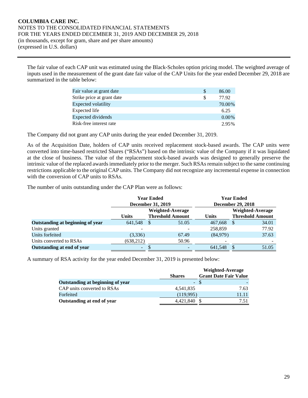The fair value of each CAP unit was estimated using the Black-Scholes option pricing model. The weighted average of inputs used in the measurement of the grant date fair value of the CAP Units for the year ended December 29, 2018 are summarized in the table below:

| Fair value at grant date   | <b>S</b> | 86.00    |
|----------------------------|----------|----------|
| Strike price at grant date | S        | 77.92    |
| <b>Expected volatility</b> |          | 70.00%   |
| Expected life              |          | 6.25     |
| <b>Expected dividends</b>  |          | $0.00\%$ |
| Risk-free interest rate    |          | 2.95%    |

The Company did not grant any CAP units during the year ended December 31, 2019.

As of the Acquisition Date, holders of CAP units received replacement stock-based awards. The CAP units were converted into time-based restricted Shares ("RSAs") based on the intrinsic value of the Company if it was liquidated at the close of business. The value of the replacement stock-based awards was designed to generally preserve the intrinsic value of the replaced awards immediately prior to the merger. Such RSAs remain subject to the same continuing restrictions applicable to the original CAP units. The Company did not recognize any incremental expense in connection with the conversion of CAP units to RSAs.

The number of units outstanding under the CAP Plan were as follows:

|                                  |              | <b>Year Ended</b><br><b>December 31, 2019</b> |       |              | <b>Year Ended</b><br><b>December 29, 2018</b> |       |  |
|----------------------------------|--------------|-----------------------------------------------|-------|--------------|-----------------------------------------------|-------|--|
|                                  |              | <b>Weighted-Average</b>                       |       |              | Weighted-Average                              |       |  |
|                                  | <b>Units</b> | <b>Threshold Amount</b>                       |       | <b>Units</b> | <b>Threshold Amount</b>                       |       |  |
| Outstanding at beginning of year | 641,548      | \$                                            | 51.05 | 467,668      | -S                                            | 34.01 |  |
| Units granted                    |              |                                               |       | 258,859      |                                               | 77.92 |  |
| Units forfeited                  | (3,336)      |                                               | 67.49 | (84,979)     |                                               | 37.63 |  |
| Units converted to RSAs          | (638, 212)   |                                               | 50.96 |              |                                               |       |  |
| Outstanding at end of year       | -            |                                               |       | 641,548      |                                               | 51.05 |  |

A summary of RSA activity for the year ended December 31, 2019 is presented below:

|                                  |               | Weighted-Average             |
|----------------------------------|---------------|------------------------------|
|                                  | <b>Shares</b> | <b>Grant Date Fair Value</b> |
| Outstanding at beginning of year | - \$          |                              |
| CAP units converted to RSAs      | 4.541.835     | 7.63                         |
| Forfeited                        | (119,995)     | 11.11                        |
| Outstanding at end of year       | 4,421,840     | 7.51                         |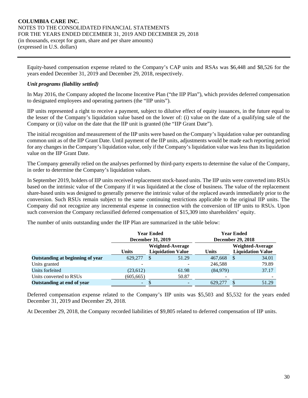Equity-based compensation expense related to the Company's CAP units and RSAs was \$6,448 and \$8,526 for the years ended December 31, 2019 and December 29, 2018, respectively.

# *Unit programs (liability settled)*

In May 2016, the Company adopted the Income Incentive Plan ("the IIP Plan"), which provides deferred compensation to designated employees and operating partners (the "IIP units").

IIP units represented a right to receive a payment, subject to dilutive effect of equity issuances, in the future equal to the lesser of the Company's liquidation value based on the lower of: (i) value on the date of a qualifying sale of the Company or (ii) value on the date that the IIP unit is granted (the "IIP Grant Date").

The initial recognition and measurement of the IIP units were based on the Company's liquidation value per outstanding common unit as of the IIP Grant Date. Until payment of the IIP units, adjustments would be made each reporting period for any changes in the Company's liquidation value, only if the Company's liquidation value was less than its liquidation value on the IIP Grant Date.

The Company generally relied on the analyses performed by third-party experts to determine the value of the Company, in order to determine the Company's liquidation values.

In September 2019, holders of IIP units received replacement stock-based units. The IIP units were converted into RSUs based on the intrinsic value of the Company if it was liquidated at the close of business. The value of the replacement share-based units was designed to generally preserve the intrinsic value of the replaced awards immediately prior to the conversion. Such RSUs remain subject to the same continuing restrictions applicable to the original IIP units. The Company did not recognize any incremental expense in connection with the conversion of IIP units to RSUs. Upon such conversion the Company reclassified deferred compensation of \$15,309 into shareholders' equity.

The number of units outstanding under the IIP Plan are summarized in the table below:

|                                  |              | <b>Year Ended</b>        |                          | <b>Year Ended</b>        |                          |                  |  |  |  |  |
|----------------------------------|--------------|--------------------------|--------------------------|--------------------------|--------------------------|------------------|--|--|--|--|
|                                  |              | <b>December 31, 2019</b> |                          | <b>December 29, 2018</b> |                          |                  |  |  |  |  |
|                                  |              |                          | Weighted-Average         |                          |                          | Weighted-Average |  |  |  |  |
|                                  | <b>Units</b> |                          | <b>Liquidation Value</b> | <b>Units</b>             | <b>Liquidation Value</b> |                  |  |  |  |  |
| Outstanding at beginning of year | 629,277      | \$                       | 51.29                    | 467,668                  |                          | 34.01            |  |  |  |  |
| Units granted                    |              |                          |                          | 246,588                  |                          | 79.89            |  |  |  |  |
| Units forfeited                  | (23,612)     |                          | 61.98                    | (84,979)                 |                          | 37.17            |  |  |  |  |
| Units converted to RSUs          | (605, 665)   |                          | 50.87                    |                          |                          |                  |  |  |  |  |
| Outstanding at end of year       | -            |                          |                          | 629,277                  |                          | 51.29            |  |  |  |  |

Deferred compensation expense related to the Company's IIP units was \$5,503 and \$5,532 for the years ended December 31, 2019 and December 29, 2018.

At December 29, 2018, the Company recorded liabilities of \$9,805 related to deferred compensation of IIP units.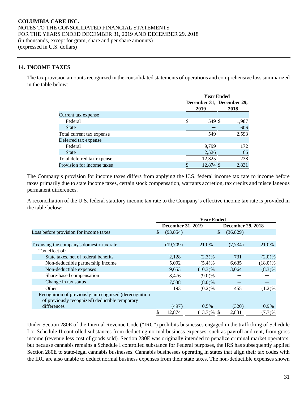# **14. INCOME TAXES**

The tax provision amounts recognized in the consolidated statements of operations and comprehensive loss summarized in the table below:

|                            | <b>Year Ended</b> |  |                                   |  |  |  |
|----------------------------|-------------------|--|-----------------------------------|--|--|--|
|                            | 2019              |  | December 31, December 29,<br>2018 |  |  |  |
| Current tax expense        |                   |  |                                   |  |  |  |
| Federal                    | \$<br>549 \$      |  | 1,987                             |  |  |  |
| <b>State</b>               |                   |  | 606                               |  |  |  |
| Total current tax expense  | 549               |  | 2,593                             |  |  |  |
| Deferred tax expense       |                   |  |                                   |  |  |  |
| Federal                    | 9,799             |  | 172                               |  |  |  |
| <b>State</b>               | 2,526             |  | 66                                |  |  |  |
| Total deferred tax expense | 12,325            |  | 238                               |  |  |  |
| Provision for income taxes | \$<br>12,874 \$   |  | 2,831                             |  |  |  |

The Company's provision for income taxes differs from applying the U.S. federal income tax rate to income before taxes primarily due to state income taxes, certain stock compensation, warrants accretion, tax credits and miscellaneous permanent differences.

A reconciliation of the U.S. federal statutory income tax rate to the Company's effective income tax rate is provided in the table below:

|                                                       | <b>Year Ended</b> |                          |               |                          |            |  |  |
|-------------------------------------------------------|-------------------|--------------------------|---------------|--------------------------|------------|--|--|
|                                                       |                   | <b>December 31, 2019</b> |               | <b>December 29, 2018</b> |            |  |  |
| Loss before provision for income taxes                | S                 | (93, 854)                |               | (36, 829)                |            |  |  |
|                                                       |                   |                          |               |                          |            |  |  |
| Tax using the company's domestic tax rate             |                   | (19,709)                 | 21.0%         | (7, 734)                 | 21.0%      |  |  |
| Tax effect of:                                        |                   |                          |               |                          |            |  |  |
| State taxes, net of federal benefits                  |                   | 2,128                    | $(2.3)\%$     | 731                      | $(2.0)\%$  |  |  |
| Non-deductible partnership income                     |                   | 5,092                    | (5.4)%        | 6,635                    | $(18.0)\%$ |  |  |
| Non-deductible expenses                               |                   | 9,653                    | $(10.3)\%$    | 3,064                    | $(8.3)\%$  |  |  |
| Share-based compensation                              |                   | 8,476                    | $(9.0)\%$     |                          |            |  |  |
| Change in tax status                                  |                   | 7.538                    | $(8.0)\%$     |                          |            |  |  |
| Other                                                 |                   | 193                      | $(0.2)$ %     | 455                      | (1.2)%     |  |  |
| Recognition of previously unrecognized (derecognition |                   |                          |               |                          |            |  |  |
| of previously recognized) deductible temporary        |                   |                          |               |                          |            |  |  |
| differences                                           |                   | (497)                    | $0.5\%$       | (320)                    | $0.9\%$    |  |  |
|                                                       | \$                | 12,874                   | $(13.7)\%$ \$ | 2,831                    | (7.7)%     |  |  |

Under Section 280E of the Internal Revenue Code ("IRC") prohibits businesses engaged in the trafficking of Schedule I or Schedule II controlled substances from deducting normal business expenses, such as payroll and rent, from gross income (revenue less cost of goods sold). Section 280E was originally intended to penalize criminal market operators, but because cannabis remains a Schedule I controlled substance for Federal purposes, the IRS has subsequently applied Section 280E to state-legal cannabis businesses. Cannabis businesses operating in states that align their tax codes with the IRC are also unable to deduct normal business expenses from their state taxes. The non-deductible expenses shown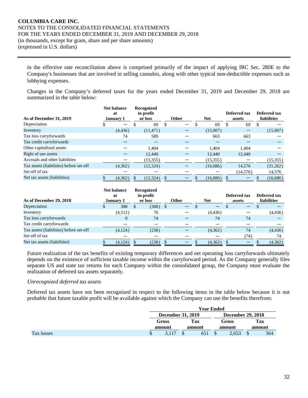in the effective rate reconciliation above is comprised primarily of the impact of applying IRC Sec. 280E to the Company's businesses that are involved in selling cannabis, along with other typical non-deductible expenses such as lobbying expenses.

Changes in the Company's deferred taxes for the years ended December 31, 2019 and December 29, 2018 are summarized in the table below:

| As of December 31, 2019                 | <b>Net balance</b><br>at<br>January 1 | Recognized<br>in profit<br>or loss |   | <b>Other</b> | <b>Net</b> |   | Deferred tax<br>assets | Deferred tax<br><b>liabilities</b> |
|-----------------------------------------|---------------------------------------|------------------------------------|---|--------------|------------|---|------------------------|------------------------------------|
|                                         |                                       |                                    |   |              |            |   |                        |                                    |
| Depreciation                            | $\overline{\phantom{m}}$              | 69                                 | S | —            | 69         | S | 69                     |                                    |
| Inventory                               | (4, 436)                              | (11, 471)                          |   |              | (15,907)   |   |                        | (15,907)                           |
| Tax loss carryforwards                  | 74                                    | 589                                |   |              | 663        |   | 663                    |                                    |
| Tax credit carryforwards                |                                       |                                    |   |              |            |   |                        |                                    |
| Other capitalized assets                |                                       | 1.404                              |   |              | 1.404      |   | 1.404                  |                                    |
| Right of use assets                     |                                       | 12,440                             |   |              | 12,440     |   | 12,440                 |                                    |
| Accruals and other liabilities          |                                       | (15, 355)                          |   |              | (15, 355)  |   |                        | (15,355)                           |
| Tax assets (liabilities) before set-off | (4,362)                               | (12, 324)                          |   |              | (16,686)   |   | 14,576                 | (31,262)                           |
| Set-off of tax                          |                                       |                                    |   |              |            |   | (14,576)               | 14,576                             |
| Net tax assets (liabilities)            | (4,362)                               | (12, 324)                          |   |              | (16,686)   |   |                        | (16,686)                           |

| As of December 29, 2018                 |    | <b>Net balance</b><br>at<br><b>January 1</b> |               | Recognized<br>in profit<br>or loss |      | <b>Other</b> | <b>Net</b> | Deferred tax<br>assets | Deferred tax<br><b>liabilities</b> |
|-----------------------------------------|----|----------------------------------------------|---------------|------------------------------------|------|--------------|------------|------------------------|------------------------------------|
| Depreciation                            | ъĐ | 388                                          | <sup>\$</sup> | (388)                              | - \$ |              |            |                        |                                    |
| Inventory                               |    | (4,512)                                      |               | 76                                 |      |              | (4, 436)   |                        | (4, 436)                           |
| Tax loss carryforwards                  |    |                                              |               | 74                                 |      |              | 74         | 74                     |                                    |
| Tax credit carryforwards                |    |                                              |               |                                    |      |              |            |                        |                                    |
| Tax assets (liabilities) before set-off |    | (4,124)                                      |               | (238)                              |      |              | (4,362)    | 74                     | (4, 436)                           |
| Set-off of tax                          |    |                                              |               |                                    |      |              |            | (74)                   | 74                                 |
| Net tax assets (liabilities)            |    | (4,124)                                      |               | (238)                              | S    |              | (4,362)    |                        | (4,362)                            |

Future realization of the tax benefits of existing temporary differences and net operating loss carryforwards ultimately depends on the existence of sufficient taxable income within the carryforward period. As the Company generally files separate US and state tax returns for each Company within the consolidated group, the Company must evaluate the realization of deferred tax assets separately.

# *Unrecognized deferred tax assets*

Deferred tax assets have not been recognized in respect to the following items in the table below because it is not probable that future taxable profit will be available against which the Company can use the benefits therefrom:

|            | <b>Year Ended</b>        |  |        |        |       |        |                          |  |  |  |
|------------|--------------------------|--|--------|--------|-------|--------|--------------------------|--|--|--|
|            | <b>December 31, 2019</b> |  |        |        |       |        | <b>December 29, 2018</b> |  |  |  |
|            | Gross                    |  | Tax    |        | Gross | Tax    |                          |  |  |  |
|            | amount                   |  | amount | amount |       | amount |                          |  |  |  |
| Tax losses | \$                       |  | 651    | \$     | 2,653 |        | 564                      |  |  |  |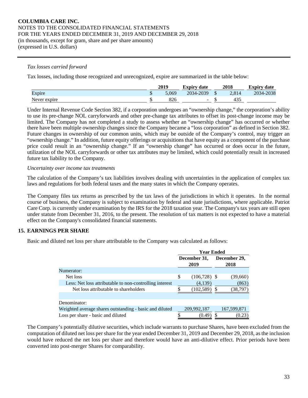#### *Tax losses carried forward*

Tax losses, including those recognized and unrecognized, expire are summarized in the table below:

|              | 2019<br>2018<br><b>Expiry date</b> |           |  |       | <b>Expiry date</b> |
|--------------|------------------------------------|-----------|--|-------|--------------------|
| Expire       | 5.069                              | 2034-2039 |  | 2.814 | 2034-2038          |
| Never expire |                                    |           |  |       |                    |

Under Internal Revenue Code Section 382, if a corporation undergoes an "ownership change," the corporation's ability to use its pre-change NOL carryforwards and other pre-change tax attributes to offset its post-change income may be limited. The Company has not completed a study to assess whether an "ownership change" has occurred or whether there have been multiple ownership changes since the Company became a "loss corporation" as defined in Section 382. Future changes in ownership of our common units, which may be outside of the Company's control, may trigger an "ownership change." In addition, future equity offerings or acquisitions that have equity as a component of the purchase price could result in an "ownership change." If an "ownership change" has occurred or does occur in the future, utilization of the NOL carryforwards or other tax attributes may be limited, which could potentially result in increased future tax liability to the Company.

#### *Uncertainty over income tax treatments*

The calculation of the Company's tax liabilities involves dealing with uncertainties in the application of complex tax laws and regulations for both federal taxes and the many states in which the Company operates.

The Company files tax returns as prescribed by the tax laws of the jurisdictions in which it operates. In the normal course of business, the Company is subject to examination by federal and state jurisdictions, where applicable. Patriot Care Corp. is currently under examination by the IRS for the 2018 taxation year. The Company's tax years are still open under statute from December 31, 2016, to the present. The resolution of tax matters is not expected to have a material effect on the Company's consolidated financial statements.

# **15. EARNINGS PER SHARE**

Basic and diluted net loss per share attributable to the Company was calculated as follows:

|                                                         | <b>Year Ended</b>    |                |   |                      |  |  |
|---------------------------------------------------------|----------------------|----------------|---|----------------------|--|--|
|                                                         | December 31,<br>2019 |                |   | December 29,<br>2018 |  |  |
| Numerator:                                              |                      |                |   |                      |  |  |
| Net loss                                                | \$                   | $(106,728)$ \$ |   | (39,660)             |  |  |
| Less: Net loss attributable to non-controlling interest |                      | (4,139)        |   | (863)                |  |  |
| Net loss attributable to shareholders                   |                      | (102, 589)     | S | (38,797)             |  |  |
|                                                         |                      |                |   |                      |  |  |
| Denominator:                                            |                      |                |   |                      |  |  |
| Weighted average shares outstanding - basic and diluted |                      | 209,992,187    |   | 167,599,871          |  |  |
| Loss per share - basic and diluted                      |                      | (0.49)         |   | (0.23)               |  |  |

The Company's potentially dilutive securities, which include warrants to purchase Shares, have been excluded from the computation of diluted net loss per share for the year ended December 31, 2019 and December 29, 2018, as the inclusion would have reduced the net loss per share and therefore would have an anti-dilutive effect. Prior periods have been converted into post-merger Shares for comparability.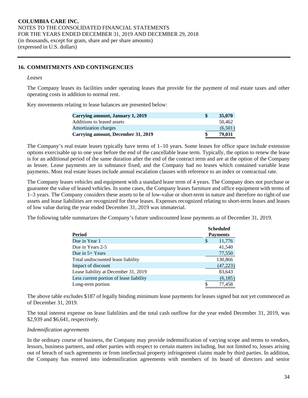# **16. COMMITMENTS AND CONTINGENCIES**

#### *Leases*

The Company leases its facilities under operating leases that provide for the payment of real estate taxes and other operating costs in addition to normal rent.

Key movements relating to lease balances are presented below:

| Carrying amount, January 1, 2019   | S | 35,070  |
|------------------------------------|---|---------|
| Additions to leased assets         |   | 50.462  |
| <b>Amortization charges</b>        |   | (6.501) |
| Carrying amount, December 31, 2019 |   | 79,031  |

The Company's real estate leases typically have terms of 1–10 years. Some leases for office space include extension options exercisable up to one year before the end of the cancellable lease term. Typically, the option to renew the lease is for an additional period of the same duration after the end of the contract term and are at the option of the Company as lessee. Lease payments are in substance fixed, and the Company had no leases which contained variable lease payments. Most real estate leases include annual escalation clauses with reference to an index or contractual rate.

The Company leases vehicles and equipment with a standard lease term of 4 years. The Company does not purchase or guarantee the value of leased vehicles. In some cases, the Company leases furniture and office equipment with terms of 1–3 years. The Company considers these assets to be of low-value or short-term in nature and therefore no right-of use assets and lease liabilities are recognized for these leases. Expenses recognized relating to short-term leases and leases of low value during the year ended December 31, 2019 was immaterial.

The following table summarizes the Company's future undiscounted lease payments as of December 31, 2019.

|                                         | <b>Scheduled</b> |
|-----------------------------------------|------------------|
| Period                                  | <b>Payments</b>  |
| Due in Year 1                           | 11,776<br>S      |
| Due in Years 2-5                        | 41,540           |
| Due in $5+$ Years                       | 77,550           |
| Total undiscounted lease liability      | 130,866          |
| Impact of discount                      | (47, 223)        |
| Lease liability at December 31, 2019    | 83,643           |
| Less current portion of lease liability | (6,185)          |
| Long-term portion                       | 77.458           |

The above table excludes \$187 of legally binding minimum lease payments for leases signed but not yet commenced as of December 31, 2019.

The total interest expense on lease liabilities and the total cash outflow for the year ended December 31, 2019, was \$2,939 and \$6,641, respectively.

#### *Indemnification agreements*

In the ordinary course of business, the Company may provide indemnification of varying scope and terms to vendors, lessors, business partners, and other parties with respect to certain matters including, but not limited to, losses arising out of breach of such agreements or from intellectual property infringement claims made by third parties. In addition, the Company has entered into indemnification agreements with members of its board of directors and senior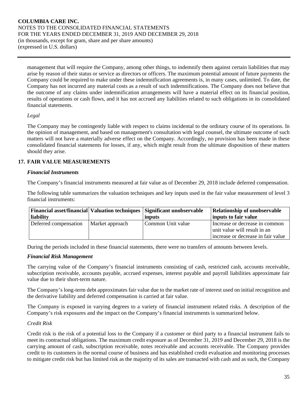management that will require the Company, among other things, to indemnify them against certain liabilities that may arise by reason of their status or service as directors or officers. The maximum potential amount of future payments the Company could be required to make under these indemnification agreements is, in many cases, unlimited. To date, the Company has not incurred any material costs as a result of such indemnifications. The Company does not believe that the outcome of any claims under indemnification arrangements will have a material effect on its financial position, results of operations or cash flows, and it has not accrued any liabilities related to such obligations in its consolidated financial statements.

# *Legal*

The Company may be contingently liable with respect to claims incidental to the ordinary course of its operations. In the opinion of management, and based on management's consultation with legal counsel, the ultimate outcome of such matters will not have a materially adverse effect on the Company. Accordingly, no provision has been made in these consolidated financial statements for losses, if any, which might result from the ultimate disposition of these matters should they arise.

# **17. FAIR VALUE MEASUREMENTS**

# *Financial Instruments*

The Company's financial instruments measured at fair value as of December 29, 2018 include deferred compensation.

The following table summarizes the valuation techniques and key inputs used in the fair value measurement of level 3 financial instruments:

|                       |                 | Financial asset/financial   Valuation techniques   Significant unobservable | <b>Relationship of unobservable</b> |
|-----------------------|-----------------|-----------------------------------------------------------------------------|-------------------------------------|
| liability             |                 | inputs                                                                      | inputs to fair value                |
| Deferred compensation | Market approach | Common Unit value                                                           | Increase or decrease in common      |
|                       |                 |                                                                             | unit value will result in an        |
|                       |                 |                                                                             | increase or decrease in fair value  |

During the periods included in these financial statements, there were no transfers of amounts between levels.

#### *Financial Risk Management*

The carrying value of the Company's financial instruments consisting of cash, restricted cash, accounts receivable, subscription receivable, accounts payable, accrued expenses, interest payable and payroll liabilities approximate fair value due to their short-term nature.

The Company's long-term debt approximates fair value due to the market rate of interest used on initial recognition and the derivative liability and deferred compensation is carried at fair value.

The Company is exposed in varying degrees to a variety of financial instrument related risks. A description of the Company's risk exposures and the impact on the Company's financial instruments is summarized below.

# *Credit Risk*

Credit risk is the risk of a potential loss to the Company if a customer or third party to a financial instrument fails to meet its contractual obligations. The maximum credit exposure as of December 31, 2019 and December 29, 2018 is the carrying amount of cash, subscription receivable, notes receivable and accounts receivable. The Company provides credit to its customers in the normal course of business and has established credit evaluation and monitoring processes to mitigate credit risk but has limited risk as the majority of its sales are transacted with cash and as such, the Company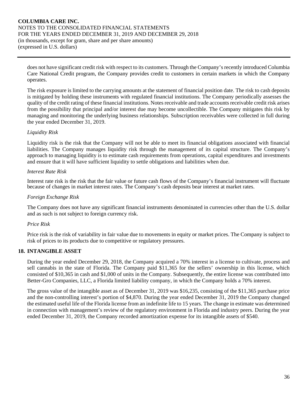does not have significant credit risk with respect to its customers. Through the Company's recently introduced Columbia Care National Credit program, the Company provides credit to customers in certain markets in which the Company operates.

The risk exposure is limited to the carrying amounts at the statement of financial position date. The risk to cash deposits is mitigated by holding these instruments with regulated financial institutions. The Company periodically assesses the quality of the credit rating of these financial institutions. Notes receivable and trade accounts receivable credit risk arises from the possibility that principal and/or interest due may become uncollectible. The Company mitigates this risk by managing and monitoring the underlying business relationships. Subscription receivables were collected in full during the year ended December 31, 2019.

# *Liquidity Risk*

Liquidity risk is the risk that the Company will not be able to meet its financial obligations associated with financial liabilities. The Company manages liquidity risk through the management of its capital structure. The Company's approach to managing liquidity is to estimate cash requirements from operations, capital expenditures and investments and ensure that it will have sufficient liquidity to settle obligations and liabilities when due.

# *Interest Rate Risk*

Interest rate risk is the risk that the fair value or future cash flows of the Company's financial instrument will fluctuate because of changes in market interest rates. The Company's cash deposits bear interest at market rates.

# *Foreign Exchange Risk*

The Company does not have any significant financial instruments denominated in currencies other than the U.S. dollar and as such is not subject to foreign currency risk.

#### *Price Risk*

Price risk is the risk of variability in fair value due to movements in equity or market prices. The Company is subject to risk of prices to its products due to competitive or regulatory pressures.

# **18. INTANGIBLE ASSET**

During the year ended December 29, 2018, the Company acquired a 70% interest in a license to cultivate, process and sell cannabis in the state of Florida. The Company paid \$11,365 for the sellers' ownership in this license, which consisted of \$10,365 in cash and \$1,000 of units in the Company. Subsequently, the entire license was contributed into Better-Gro Companies, LLC, a Florida limited liability company, in which the Company holds a 70% interest.

The gross value of the intangible asset as of December 31, 2019 was \$16,235, consisting of the \$11,365 purchase price and the non-controlling interest's portion of \$4,870. During the year ended December 31, 2019 the Company changed the estimated useful life of the Florida license from an indefinite life to 15 years. The change in estimate was determined in connection with management's review of the regulatory environment in Florida and industry peers. During the year ended December 31, 2019, the Company recorded amortization expense for its intangible assets of \$540.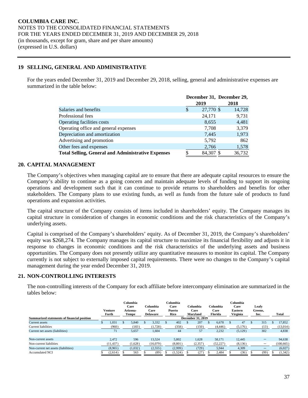# **19 SELLING, GENERAL AND ADMINISTRATIVE**

For the years ended December 31, 2019 and December 29, 2018, selling, general and administrative expenses are summarized in the table below:

|                                                           |     |           | December 31, December 29, |
|-----------------------------------------------------------|-----|-----------|---------------------------|
|                                                           |     | 2019      | 2018                      |
| Salaries and benefits                                     | \$. | 27,770 \$ | 14,728                    |
| Professional fees                                         |     | 24,171    | 9,731                     |
| Operating facilities costs                                |     | 8,655     | 4,481                     |
| Operating office and general expenses                     |     | 7,708     | 3,379                     |
| Depreciation and amortization                             |     | 7,445     | 1,973                     |
| Advertising and promotion                                 |     | 5,792     | 862                       |
| Other fees and expenses                                   |     | 2,766     | 1,578                     |
| <b>Total Selling, General and Administrative Expenses</b> |     | 84,307 \$ | 36,732                    |

# **20. CAPITAL MANAGEMENT**

The Company's objectives when managing capital are to ensure that there are adequate capital resources to ensure the Company's ability to continue as a going concern and maintain adequate levels of funding to support its ongoing operations and development such that it can continue to provide returns to shareholders and benefits for other stakeholders. The Company plans to use existing funds, as well as funds from the future sale of products to fund operations and expansion activities.

The capital structure of the Company consists of items included in shareholders' equity. The Company manages its capital structure in consideration of changes in economic conditions and the risk characteristics of the Company's underlying assets.

Capital is comprised of the Company's shareholders' equity. As of December 31, 2019, the Company's shareholders' equity was \$268,274. The Company manages its capital structure to maximize its financial flexibility and adjusts it in response to changes in economic conditions and the risk characteristics of the underlying assets and business opportunities. The Company does not presently utilize any quantitative measures to monitor its capital. The Company currently is not subject to externally imposed capital requirements. There were no changes to the Company's capital management during the year ended December 31, 2019.

#### **21. NON-CONTROLLING INTERESTS**

The non-controlling interests of the Company for each affiliate before intercompany elimination are summarized in the tables below:

| Summarized statements of financial position | Venture<br>Forth |       | Columbia<br>Care<br>Arizona-<br>Tempe |          | Columbia<br>Care<br><b>Delaware</b> | Columbia<br>Care<br>Puerto<br>Rico | Columbia<br>Care<br><b>Marvland</b><br><b>December 31, 2019</b> |  | Columbia<br>Care<br>Florida |  | Columbia<br>Care<br><b>Eastern</b><br>Virginia | Leafy<br>Greens.<br>Inc. | Total      |
|---------------------------------------------|------------------|-------|---------------------------------------|----------|-------------------------------------|------------------------------------|-----------------------------------------------------------------|--|-----------------------------|--|------------------------------------------------|--------------------------|------------|
| Current assets                              | 1.031            |       | 5.840                                 | <b>D</b> | 3.332                               | 402                                | 207                                                             |  | 6.678                       |  | 47                                             | 315                      | 17,852     |
| <b>Current liabilities</b>                  | (960)            |       | (183)                                 |          | (1,728)                             | (358)                              | (150)                                                           |  | (4, 446)                    |  | (5,176)                                        | (13)                     | (13,014)   |
| Current net assets (liabilities)            | 71               | 5,657 |                                       | 1,604    |                                     | 44                                 | 57                                                              |  | 2,232                       |  | (5,129)                                        | 302                      | 4,838      |
|                                             |                  |       |                                       |          |                                     |                                    |                                                                 |  |                             |  |                                                |                          |            |
| Non-current assets                          | 2.472            |       | 596                                   |          | 13.524                              | 5,802                              | 1,628                                                           |  | 58,171                      |  | 12,445                                         | —                        | 94,638     |
| Non-current liabilities                     | (11, 437)        |       | (1,628)                               |          | (16,079)                            | (8,801)                            | (2, 357)                                                        |  | (52, 227)                   |  | (8,136)                                        | $\overline{\phantom{0}}$ | (100, 665) |
| Non-current net assets (liabilities)        | (8,965)          |       | (1,032)                               |          | (2,555)                             | (2,999)                            | (729)                                                           |  | 5.944                       |  | 4,309                                          | $\overline{\phantom{0}}$ | (6,027)    |
| <b>Accumulated NCI</b>                      | (2,614)          |       | 563                                   |          | (89)                                | (1,524)                            | (27)                                                            |  | 2,484                       |  | (36)                                           | (99)                     | (1, 342)   |